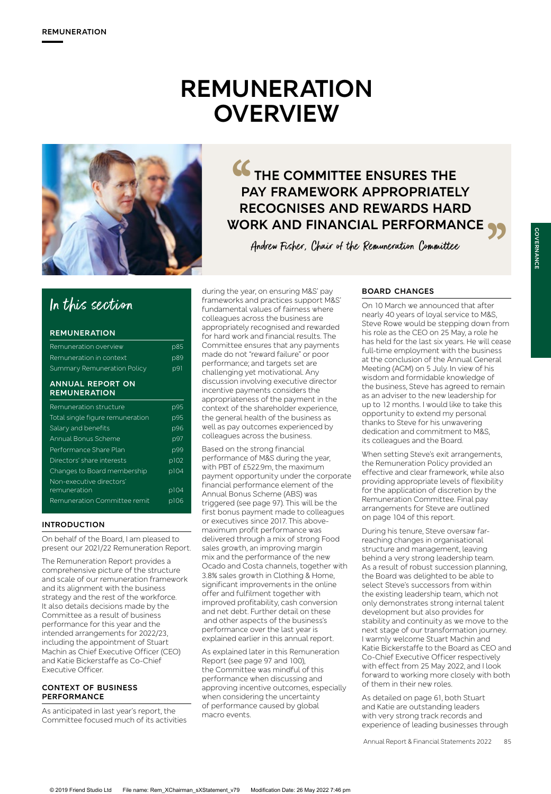# **REMUNERATION OVERVIEW**



# **THE COMMITTEE ENSURES THE PAY FRAMEWORK APPROPRIATELY RECOGNISES AND REWARDS HARD WORK AND FINANCIAL PERFORMANCE**<br> *Andrew Fisher, Chair of the Remuneration Committee*<br>
the year, on ensuring M&S' pay<br>
Yorks and practices support M&S'  $\frac{BOARD CHANCES}{OD10 March we announced that after$ CC<br>PA<br>RE<br>WOR

Andrew Fisher, Chair of the Remuneration Committee

# In this section

### **REMUNERATION**

| <b>ANNUAL REPORT ON</b>     |     |
|-----------------------------|-----|
| Summary Remuneration Policy | p91 |
| Remuneration in context     | p89 |
| Remuneration overview       | p85 |

# **REMUNERATION**

| Remuneration structure           | p95  |
|----------------------------------|------|
| Total single figure remuneration | p95  |
| Salary and benefits              | p96  |
| Annual Bonus Scheme              | p97  |
| Performance Share Plan           | p99  |
| Directors' share interests       | p102 |
| Changes to Board membership      | p104 |
| Non-executive directors'         |      |
| remuneration                     | p104 |
| Remuneration Committee remit     | p106 |
|                                  |      |

# **INTRODUCTION**

On behalf of the Board, I am pleased to present our 2021/22 Remuneration Report.

The Remuneration Report provides a comprehensive picture of the structure and scale of our remuneration framework and its alignment with the business strategy and the rest of the workforce. It also details decisions made by the Committee as a result of business performance for this year and the intended arrangements for 2022/23, including the appointment of Stuart Machin as Chief Executive Officer (CEO) and Katie Bickerstaffe as Co-Chief Executive Officer.

#### **CONTEXT OF BUSINESS PERFORMANCE**

As anticipated in last year's report, the Committee focused much of its activities during the year, on ensuring M&S' pay frameworks and practices support M&S' fundamental values of fairness where colleagues across the business are appropriately recognised and rewarded for hard work and financial results. The Committee ensures that any payments made do not "reward failure" or poor performance; and targets set are challenging yet motivational. Any discussion involving executive director incentive payments considers the appropriateness of the payment in the context of the shareholder experience, the general health of the business as well as pay outcomes experienced by colleagues across the business.

Based on the strong financial performance of M&S during the year, with PBT of £522.9m, the maximum payment opportunity under the corporate financial performance element of the Annual Bonus Scheme (ABS) was triggered (see page 97). This will be the first bonus payment made to colleagues or executives since 2017. This abovemaximum profit performance was delivered through a mix of strong Food sales growth, an improving margin mix and the performance of the new Ocado and Costa channels, together with 3.8% sales growth in Clothing & Home, significant improvements in the online offer and fulfilment together with improved profitability, cash conversion and net debt. Further detail on these and other aspects of the business's performance over the last year is explained earlier in this annual report.

As explained later in this Remuneration Report (see page 97 and 100), the Committee was mindful of this performance when discussing and approving incentive outcomes, especially when considering the uncertainty of performance caused by global macro events.

# **BOARD CHANGES**

On 10 March we announced that after nearly 40 years of loyal service to M&S, Steve Rowe would be stepping down from his role as the CEO on 25 May, a role he has held for the last six years. He will cease full-time employment with the business at the conclusion of the Annual General Meeting (AGM) on 5 July. In view of his wisdom and formidable knowledge of the business, Steve has agreed to remain as an adviser to the new leadership for up to 12 months. I would like to take this opportunity to extend my personal thanks to Steve for his unwavering dedication and commitment to M&S, its colleagues and the Board.

When setting Steve's exit arrangements, the Remuneration Policy provided an effective and clear framework, while also providing appropriate levels of flexibility for the application of discretion by the Remuneration Committee. Final pay arrangements for Steve are outlined on page 104 of this report.

During his tenure, Steve oversaw farreaching changes in organisational structure and management, leaving behind a very strong leadership team. As a result of robust succession planning, the Board was delighted to be able to select Steve's successors from within the existing leadership team, which not only demonstrates strong internal talent development but also provides for stability and continuity as we move to the next stage of our transformation journey. I warmly welcome Stuart Machin and Katie Bickerstaffe to the Board as CEO and Co-Chief Executive Officer respectively with effect from 25 May 2022, and I look forward to working more closely with both of them in their new roles.

As detailed on page 61, both Stuart and Katie are outstanding leaders with very strong track records and experience of leading businesses through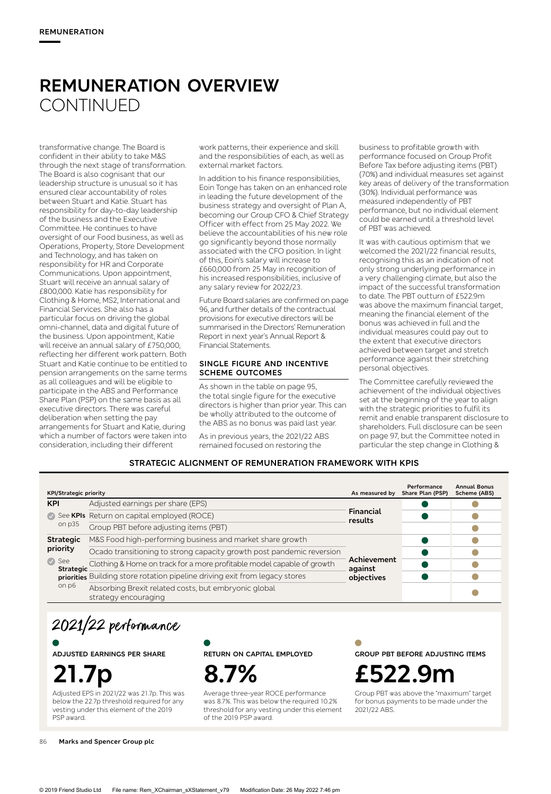# **REMUNERATION OVERVIEW CONTINUED**

transformative change. The Board is confident in their ability to take M&S through the next stage of transformation. The Board is also cognisant that our leadership structure is unusual so it has ensured clear accountability of roles between Stuart and Katie. Stuart has responsibility for day-to-day leadership of the business and the Executive Committee. He continues to have oversight of our Food business, as well as Operations, Property, Store Development and Technology, and has taken on responsibility for HR and Corporate Communications. Upon appointment, Stuart will receive an annual salary of £800,000. Katie has responsibility for Clothing & Home, MS2, International and Financial Services. She also has a particular focus on driving the global omni-channel, data and digital future of the business. Upon appointment, Katie will receive an annual salary of £750,000, reflecting her different work pattern. Both Stuart and Katie continue to be entitled to pension arrangements on the same terms as all colleagues and will be eligible to participate in the ABS and Performance Share Plan (PSP) on the same basis as all executive directors. There was careful deliberation when setting the pay arrangements for Stuart and Katie, during which a number of factors were taken into consideration, including their different

work patterns, their experience and skill and the responsibilities of each, as well as external market factors.

In addition to his finance responsibilities, Eoin Tonge has taken on an enhanced role in leading the future development of the business strategy and oversight of Plan A, becoming our Group CFO & Chief Strategy Officer with effect from 25 May 2022. We believe the accountabilities of his new role go significantly beyond those normally associated with the CFO position. In light of this, Eoin's salary will increase to £660,000 from 25 May in recognition of his increased responsibilities, inclusive of any salary review for 2022/23.

Future Board salaries are confirmed on page 96, and further details of the contractual provisions for executive directors will be summarised in the Directors' Remuneration Report in next year's Annual Report & Financial Statements.

#### **SINGLE FIGURE AND INCENTIVE SCHEME OUTCOMES**

As shown in the table on page 95, the total single figure for the executive directors is higher than prior year. This can be wholly attributed to the outcome of the ABS as no bonus was paid last year.

As in previous years, the 2021/22 ABS remained focused on restoring the

business to profitable growth with performance focused on Group Profit Before Tax before adjusting items (PBT) (70%) and individual measures set against key areas of delivery of the transformation (30%). Individual performance was measured independently of PBT performance, but no individual element could be earned until a threshold level of PBT was achieved.

It was with cautious optimism that we welcomed the 2021/22 financial results, recognising this as an indication of not only strong underlying performance in a very challenging climate, but also the impact of the successful transformation to date. The PBT outturn of £522.9m was above the maximum financial target, meaning the financial element of the bonus was achieved in full and the individual measures could pay out to the extent that executive directors achieved between target and stretch performance against their stretching personal objectives.

The Committee carefully reviewed the achievement of the individual objectives set at the beginning of the year to align with the strategic priorities to fulfil its remit and enable transparent disclosure to shareholders. Full disclosure can be seen on page 97, but the Committee noted in particular the step change in Clothing &

# **STRATEGIC ALIGNMENT OF REMUNERATION FRAMEWORK WITH KPIS**

| <b>KPI/Strategic priority</b> |                                                                                  | As measured by         | Performance<br>Share Plan (PSP) | <b>Annual Bonus</b><br>Scheme (ABS) |
|-------------------------------|----------------------------------------------------------------------------------|------------------------|---------------------------------|-------------------------------------|
| <b>KPI</b>                    | Adjusted earnings per share (EPS)                                                |                        |                                 |                                     |
|                               | See KPIs Return on capital employed (ROCE)                                       | Financial<br>results   |                                 |                                     |
| on p35                        | Group PBT before adjusting items (PBT)                                           |                        |                                 |                                     |
| <b>Strategic</b>              | M&S Food high-performing business and market share growth                        | Achievement<br>against |                                 |                                     |
| priority                      | Ocado transitioning to strong capacity growth post pandemic reversion            |                        |                                 |                                     |
| $\bullet$ See                 | Strategic Clothing & Home on track for a more profitable model capable of growth |                        |                                 |                                     |
|                               | priorities Building store rotation pipeline driving exit from legacy stores      | objectives             |                                 |                                     |
| on p6                         | Absorbing Brexit related costs, but embryonic global<br>strategy encouraging     |                        |                                 |                                     |

2021/22 performance

**ADJUSTED EARNINGS PER SHARE**

**21.7p**

Adjusted EPS in 2021/22 was 21.7p. This was below the 22.7p threshold required for any vesting under this element of the 2019 PSP award.

**RETURN ON CAPITAL EMPLOYED**



Average three-year ROCE performance was 8.7%. This was below the required 10.2% threshold for any vesting under this element of the 2019 PSP award.

**GROUP PBT BEFORE ADJUSTING ITEMS**

**£522.9m**

Group PBT was above the "maximum" target for bonus payments to be made under the 2021/22 ABS.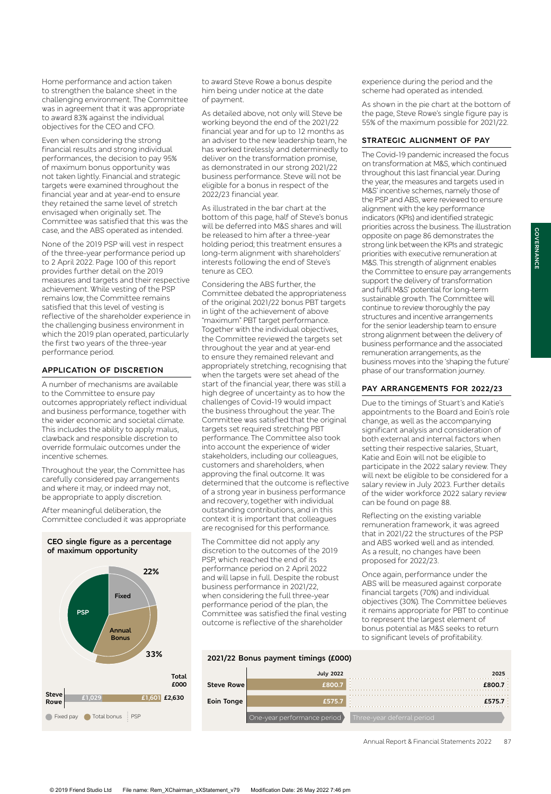Home performance and action taken to strengthen the balance sheet in the challenging environment. The Committee was in agreement that it was appropriate to award 83% against the individual objectives for the CEO and CFO.

Even when considering the strong financial results and strong individual performances, the decision to pay 95% of maximum bonus opportunity was not taken lightly. Financial and strategic targets were examined throughout the financial year and at year-end to ensure they retained the same level of stretch envisaged when originally set. The Committee was satisfied that this was the case, and the ABS operated as intended.

None of the 2019 PSP will vest in respect of the three-year performance period up to 2 April 2022. Page 100 of this report provides further detail on the 2019 measures and targets and their respective achievement. While vesting of the PSP remains low, the Committee remains satisfied that this level of vesting is reflective of the shareholder experience in the challenging business environment in which the 2019 plan operated, particularly the first two years of the three-year performance period.

#### **APPLICATION OF DISCRETION**

A number of mechanisms are available to the Committee to ensure pay outcomes appropriately reflect individual and business performance, together with the wider economic and societal climate. This includes the ability to apply malus, clawback and responsible discretion to override formulaic outcomes under the incentive schemes.

Throughout the year, the Committee has carefully considered pay arrangements and where it may, or indeed may not, be appropriate to apply discretion.

After meaningful deliberation, the Committee concluded it was appropriate

#### **CEO single figure as a percentage of maximum opportunity**



to award Steve Rowe a bonus despite him being under notice at the date of payment.

As detailed above, not only will Steve be working beyond the end of the 2021/22 financial year and for up to 12 months as an adviser to the new leadership team, he has worked tirelessly and determinedly to deliver on the transformation promise, as demonstrated in our strong 2021/22 business performance. Steve will not be eligible for a bonus in respect of the 2022/23 financial year.

As illustrated in the bar chart at the bottom of this page, half of Steve's bonus will be deferred into M&S shares and will be released to him after a three-year holding period; this treatment ensures a long-term alignment with shareholders' interests following the end of Steve's tenure as CEO.

Considering the ABS further, the Committee debated the appropriateness of the original 2021/22 bonus PBT targets in light of the achievement of above "maximum" PBT target performance. Together with the individual objectives, the Committee reviewed the targets set throughout the year and at year-end to ensure they remained relevant and appropriately stretching, recognising that when the targets were set ahead of the start of the financial year, there was still a high degree of uncertainty as to how the challenges of Covid-19 would impact the business throughout the year. The Committee was satisfied that the original targets set required stretching PBT performance. The Committee also took into account the experience of wider stakeholders, including our colleagues, customers and shareholders, when approving the final outcome. It was determined that the outcome is reflective of a strong year in business performance and recovery, together with individual outstanding contributions, and in this context it is important that colleagues are recognised for this performance.

The Committee did not apply any discretion to the outcomes of the 2019 PSP, which reached the end of its performance period on 2 April 2022 and will lapse in full. Despite the robust business performance in 2021/22, when considering the full three-year performance period of the plan, the Committee was satisfied the final vesting outcome is reflective of the shareholder

experience during the period and the scheme had operated as intended.

As shown in the pie chart at the bottom of the page, Steve Rowe's single figure pay is 55% of the maximum possible for 2021/22.

#### **STRATEGIC ALIGNMENT OF PAY**

The Covid-19 pandemic increased the focus on transformation at M&S, which continued throughout this last financial year. During the year, the measures and targets used in M&S' incentive schemes, namely those of the PSP and ABS, were reviewed to ensure alignment with the key performance indicators (KPIs) and identified strategic priorities across the business. The illustration opposite on page 86 demonstrates the strong link between the KPIs and strategic priorities with executive remuneration at M&S. This strength of alignment enables the Committee to ensure pay arrangements support the delivery of transformation and fulfil M&S' potential for long-term sustainable growth. The Committee will continue to review thoroughly the pay structures and incentive arrangements for the senior leadership team to ensure strong alignment between the delivery of business performance and the associated remuneration arrangements, as the business moves into the 'shaping the future' phase of our transformation journey.

#### **PAY ARRANGEMENTS FOR 2022/23**

Due to the timings of Stuart's and Katie's appointments to the Board and Eoin's role change, as well as the accompanying significant analysis and consideration of both external and internal factors when setting their respective salaries, Stuart, Katie and Eoin will not be eligible to participate in the 2022 salary review. They will next be eligible to be considered for a salary review in July 2023. Further details of the wider workforce 2022 salary review can be found on page 88.

Reflecting on the existing variable remuneration framework, it was agreed that in 2021/22 the structures of the PSP and ABS worked well and as intended. As a result, no changes have been proposed for 2022/23.

Once again, performance under the ABS will be measured against corporate financial targets (70%) and individual objectives (30%). The Committee believes it remains appropriate for PBT to continue to represent the largest element of bonus potential as M&S seeks to return to significant levels of profitability.

#### **2021/22 Bonus payment timings (£000)**

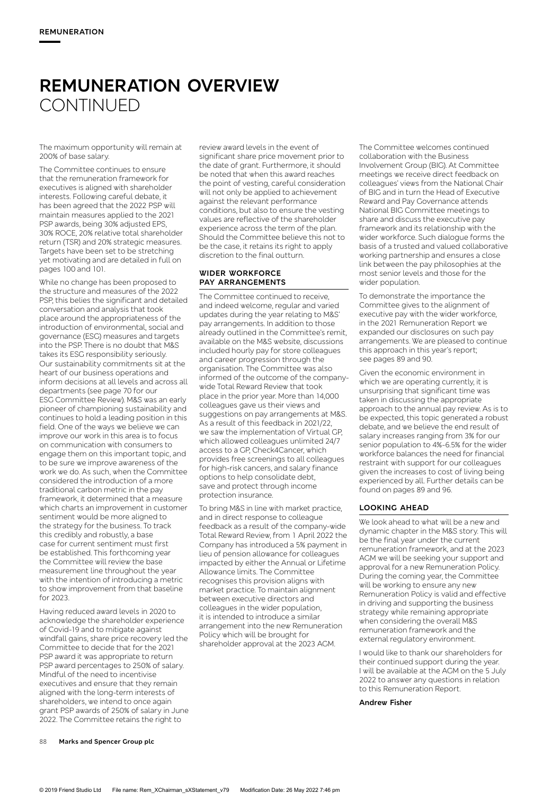# **REMUNERATION OVERVIEW CONTINUED**

The maximum opportunity will remain at 200% of base salary.

The Committee continues to ensure that the remuneration framework for executives is aligned with shareholder interests. Following careful debate, it has been agreed that the 2022 PSP will maintain measures applied to the 2021 PSP awards, being 30% adjusted EPS, 30% ROCE, 20% relative total shareholder return (TSR) and 20% strategic measures. Targets have been set to be stretching yet motivating and are detailed in full on pages 100 and 101.

While no change has been proposed to the structure and measures of the 2022 PSP, this belies the significant and detailed conversation and analysis that took place around the appropriateness of the introduction of environmental, social and governance (ESG) measures and targets into the PSP. There is no doubt that M&S takes its ESG responsibility seriously. Our sustainability commitments sit at the heart of our business operations and inform decisions at all levels and across all departments (see page 70 for our ESG Committee Review). M&S was an early pioneer of championing sustainability and continues to hold a leading position in this field. One of the ways we believe we can improve our work in this area is to focus on communication with consumers to engage them on this important topic, and to be sure we improve awareness of the work we do. As such, when the Committee considered the introduction of a more traditional carbon metric in the pay framework, it determined that a measure which charts an improvement in customer sentiment would be more aligned to the strategy for the business. To track this credibly and robustly, a base case for current sentiment must first be established. This forthcoming year the Committee will review the base measurement line throughout the year with the intention of introducing a metric to show improvement from that baseline for 2023.

Having reduced award levels in 2020 to acknowledge the shareholder experience of Covid-19 and to mitigate against windfall gains, share price recovery led the Committee to decide that for the 2021 PSP award it was appropriate to return PSP award percentages to 250% of salary. Mindful of the need to incentivise executives and ensure that they remain aligned with the long-term interests of shareholders, we intend to once again grant PSP awards of 250% of salary in June 2022. The Committee retains the right to

review award levels in the event of significant share price movement prior to the date of grant. Furthermore, it should be noted that when this award reaches the point of vesting, careful consideration will not only be applied to achievement against the relevant performance conditions, but also to ensure the vesting values are reflective of the shareholder experience across the term of the plan. Should the Committee believe this not to be the case, it retains its right to apply discretion to the final outturn.

#### **WIDER WORKFORCE PAY ARRANGEMENTS**

The Committee continued to receive, and indeed welcome, regular and varied updates during the year relating to M&S' pay arrangements. In addition to those already outlined in the Committee's remit, available on the M&S website, discussions included hourly pay for store colleagues and career progression through the organisation. The Committee was also informed of the outcome of the companywide Total Reward Review that took place in the prior year. More than 14,000 colleagues gave us their views and suggestions on pay arrangements at M&S. As a result of this feedback in 2021/22, we saw the implementation of Virtual GP, which allowed colleagues unlimited 24/7 access to a GP, Check4Cancer, which provides free screenings to all colleagues for high-risk cancers, and salary finance options to help consolidate debt, save and protect through income protection insurance.

To bring M&S in line with market practice, and in direct response to colleague feedback as a result of the company-wide Total Reward Review, from 1 April 2022 the Company has introduced a 5% payment in lieu of pension allowance for colleagues impacted by either the Annual or Lifetime Allowance limits. The Committee recognises this provision aligns with market practice. To maintain alignment between executive directors and colleagues in the wider population, it is intended to introduce a similar arrangement into the new Remuneration Policy which will be brought for shareholder approval at the 2023 AGM.

The Committee welcomes continued collaboration with the Business Involvement Group (BIG). At Committee meetings we receive direct feedback on colleagues' views from the National Chair of BIG and in turn the Head of Executive Reward and Pay Governance attends National BIG Committee meetings to share and discuss the executive pay framework and its relationship with the wider workforce. Such dialogue forms the basis of a trusted and valued collaborative working partnership and ensures a close link between the pay philosophies at the most senior levels and those for the wider population.

To demonstrate the importance the Committee gives to the alignment of executive pay with the wider workforce, in the 2021 Remuneration Report we expanded our disclosures on such pay arrangements. We are pleased to continue this approach in this year's report; see pages 89 and 90.

Given the economic environment in which we are operating currently, it is unsurprising that significant time was taken in discussing the appropriate approach to the annual pay review. As is to be expected, this topic generated a robust debate, and we believe the end result of salary increases ranging from 3% for our senior population to 4%-6.5% for the wider workforce balances the need for financial restraint with support for our colleagues given the increases to cost of living being experienced by all. Further details can be found on pages 89 and 96.

#### **LOOKING AHEAD**

We look ahead to what will be a new and dynamic chapter in the M&S story. This will be the final year under the current remuneration framework, and at the 2023 AGM we will be seeking your support and approval for a new Remuneration Policy. During the coming year, the Committee will be working to ensure any new Remuneration Policy is valid and effective in driving and supporting the business strategy while remaining appropriate when considering the overall M&S remuneration framework and the external regulatory environment.

I would like to thank our shareholders for their continued support during the year. I will be available at the AGM on the 5 July 2022 to answer any questions in relation to this Remuneration Report.

**Andrew Fisher**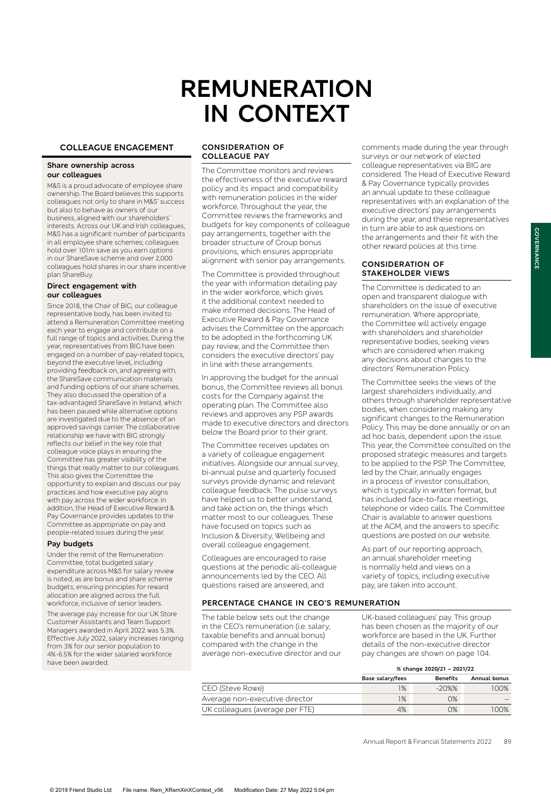# **REMUNERATION IN CONTEXT**

### **COLLEAGUE ENGAGEMENT**

#### **Share ownership across our colleagues**

M&S is a proud advocate of employee share ownership. The Board believes this supports colleagues not only to share in M&S' success but also to behave as owners of our business, aligned with our shareholders' interests. Across our UK and Irish colleagues, M&S has a significant number of participants in all employee share schemes; colleagues hold over 101m save as you earn options in our ShareSave scheme and over 2,000 colleagues hold shares in our share incentive plan ShareBuy.

#### **Direct engagement with our colleagues**

Since 2018, the Chair of BIG, our colleague representative body, has been invited to attend a Remuneration Committee meeting each year to engage and contribute on a full range of topics and activities. During the year, representatives from BIG have been engaged on a number of pay-related topics, beyond the executive level, including providing feedback on, and agreeing with, the ShareSave communication materials and funding options of our share schemes. They also discussed the operation of a tax-advantaged ShareSave in Ireland, which has been paused while alternative options are investigated due to the absence of an approved savings carrier. The collaborative relationship we have with BIG strongly reflects our belief in the key role that colleague voice plays in ensuring the Committee has greater visibility of the things that really matter to our colleagues. This also gives the Committee the opportunity to explain and discuss our pay practices and how executive pay aligns with pay across the wider workforce. In addition, the Head of Executive Reward & Pay Governance provides updates to the Committee as appropriate on pay and people-related issues during the year.

#### **Pay budgets**

Under the remit of the Remuneration Committee, total budgeted salary expenditure across M&S for salary review is noted, as are bonus and share scheme budgets, ensuring principles for reward allocation are aligned across the full workforce, inclusive of senior leaders.

The average pay increase for our UK Store Customer Assistants and Team Support Managers awarded in April 2022 was 5.3%. Effective July 2022, salary increases ranging from 3% for our senior population to 4%-6.5% for the wider salaried workforce have been awarded.

#### **CONSIDERATION OF COLLEAGUE PAY**

The Committee monitors and reviews the effectiveness of the executive reward policy and its impact and compatibility with remuneration policies in the wider workforce. Throughout the year, the Committee reviews the frameworks and budgets for key components of colleague pay arrangements, together with the broader structure of Group bonus provisions, which ensures appropriate alignment with senior pay arrangements.

The Committee is provided throughout the year with information detailing pay in the wider workforce, which gives it the additional context needed to make informed decisions. The Head of Executive Reward & Pay Governance advises the Committee on the approach to be adopted in the forthcoming UK pay review, and the Committee then considers the executive directors' pay in line with these arrangements.

In approving the budget for the annual bonus, the Committee reviews all bonus costs for the Company against the operating plan. The Committee also reviews and approves any PSP awards made to executive directors and directors below the Board prior to their grant.

The Committee receives updates on a variety of colleague engagement initiatives. Alongside our annual survey, bi-annual pulse and quarterly focused surveys provide dynamic and relevant colleague feedback. The pulse surveys have helped us to better understand, and take action on, the things which matter most to our colleagues. These have focused on topics such as Inclusion & Diversity, Wellbeing and overall colleague engagement.

Colleagues are encouraged to raise questions at the periodic all-colleague announcements led by the CEO. All questions raised are answered, and

#### **PERCENTAGE CHANGE IN CEO'S REMUNERATION**

The table below sets out the change in the CEO's remuneration (i.e. salary, taxable benefits and annual bonus) compared with the change in the average non-executive director and our

comments made during the year through surveys or our network of elected colleague representatives via BIG are considered. The Head of Executive Reward & Pay Governance typically provides an annual update to these colleague representatives with an explanation of the executive directors' pay arrangements during the year, and these representatives in turn are able to ask questions on the arrangements and their fit with the other reward policies at this time.

#### **CONSIDERATION OF STAKEHOLDER VIEWS**

The Committee is dedicated to an open and transparent dialogue with shareholders on the issue of executive remuneration. Where appropriate, the Committee will actively engage with shareholders and shareholder representative bodies, seeking views which are considered when making any decisions about changes to the directors' Remuneration Policy.

The Committee seeks the views of the largest shareholders individually, and others through shareholder representative bodies, when considering making any significant changes to the Remuneration Policy. This may be done annually or on an ad hoc basis, dependent upon the issue. This year, the Committee consulted on the proposed strategic measures and targets to be applied to the PSP. The Committee, led by the Chair, annually engages in a process of investor consultation, which is typically in written format, but has included face-to-face meetings, telephone or video calls. The Committee Chair is available to answer questions at the AGM, and the answers to specific questions are posted on our website.

As part of our reporting approach, an annual shareholder meeting is normally held and views on a variety of topics, including executive pay, are taken into account.

UK-based colleagues' pay. This group has been chosen as the majority of our workforce are based in the UK. Further details of the non-executive director pay changes are shown on page 104.

|                                 |                  | % change 2020/21 - 2021/22 |                     |  |  |  |  |
|---------------------------------|------------------|----------------------------|---------------------|--|--|--|--|
|                                 | Base salary/fees | <b>Benefits</b>            | <b>Annual bonus</b> |  |  |  |  |
| CEO (Steve Rowe)                | 1%               | $-20\%$ %                  | 100%                |  |  |  |  |
| Average non-executive director  | 1%               | 0%                         |                     |  |  |  |  |
| UK colleagues (average per FTE) | 4%               | $O\%$                      | 100%                |  |  |  |  |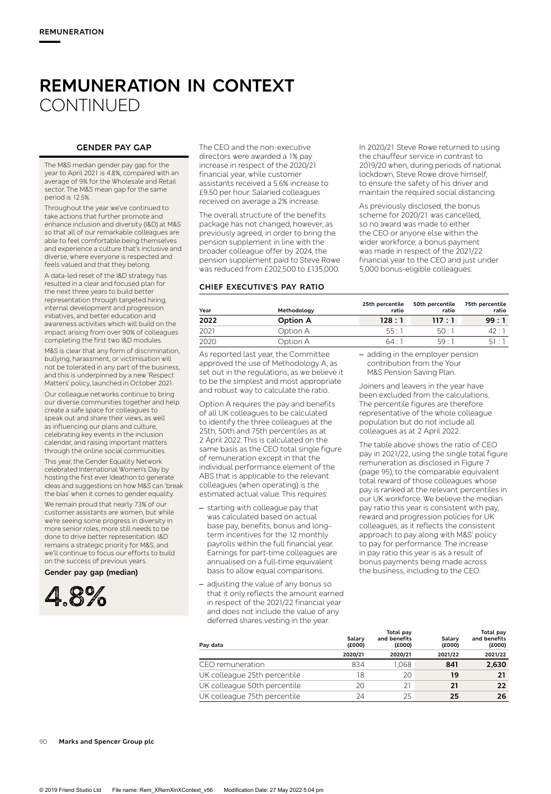# **REMUNERATION IN CONTEXT CONTINUED**

## **GENDER PAY GAP**

The M&S median gender pay gap for the year to April 2021 is 4.8%, compared with an average of 9% for the Wholesale and Retail sector. The M&S mean gap for the same period is 12.5%.

Throughout the year we've continued to take actions that further promote and enhance inclusion and diversity (I&D) at M&S so that all of our remarkable colleagues are able to feel comfortable being themselves and experience a culture that's inclusive and diverse, where everyone is respected and feels valued and that they belong.

A data-led reset of the I&D strategy has resulted in a clear and focused plan for the next three years to build better representation through targeted hiring, internal development and progression initiatives, and better education and awareness activities which will build on the impact arising from over 90% of colleagues completing the first two I&D modules.

M&S is clear that any form of discrimination, bullying, harassment, or victimisation will not be tolerated in any part of the business, and this is underpinned by a new 'Respect Matters' policy, launched in October 2021.

Our colleague networks continue to bring our diverse communities together and help create a safe space for colleagues to speak out and share their views, as well as influencing our plans and culture, celebrating key events in the inclusion calendar, and raising important matters through the online social communities.

This year, the Gender Equality Network celebrated International Women's Day by hosting the first ever Ideathon to generate ideas and suggestions on how M&S can 'break the bias' when it comes to gender equality.

We remain proud that nearly 73% of our customer assistants are women, but while we're seeing some progress in diversity in more senior roles, more still needs to be done to drive better representation. I&D remains a strategic priority for M&S, and we'll continue to focus our efforts to build on the success of previous years.

**Gender pay gap (median)** 



The CEO and the non-executive directors were awarded a 1% pay increase in respect of the 2020/21 financial year, while customer assistants received a 5.6% increase to £9.50 per hour. Salaried colleagues received on average a 2% increase.

The overall structure of the benefits package has not changed; however, as previously agreed, in order to bring the pension supplement in line with the broader colleague offer by 2024, the pension supplement paid to Steve Rowe was reduced from £202,500 to £135,000.

#### **CHIEF EXECUTIVE'S PAY RATIO**

In 2020/21 Steve Rowe returned to using the chauffeur service in contrast to 2019/20 when, during periods of national lockdown, Steve Rowe drove himself, to ensure the safety of his driver and maintain the required social distancing.

As previously disclosed, the bonus scheme for 2020/21 was cancelled, so no award was made to either the CEO or anyone else within the wider workforce; a bonus payment was made in respect of the 2021/22 financial year to the CEO and just under 5,000 bonus-eligible colleagues.

| Year | Methodology | 25th percentile<br>ratio | 50th percentile<br>ratio | 75th percentile<br>ratio |
|------|-------------|--------------------------|--------------------------|--------------------------|
| 2022 | Option A    | 128:1                    | 117:1                    | 99:1                     |
| 2021 | Option A    | 55 : 1                   | 50:1                     | 42 : 1                   |
| 2020 | Option A    | 64:1                     | 59.1                     | 51:1                     |
|      |             |                          |                          |                          |

As reported last year, the Committee approved the use of Methodology A, as set out in the regulations, as we believe it to be the simplest and most appropriate and robust way to calculate the ratio.

Option A requires the pay and benefits of all UK colleagues to be calculated to identify the three colleagues at the 25th, 50th and 75th percentiles as at 2 April 2022. This is calculated on the same basis as the CEO total single figure of remuneration except in that the individual performance element of the ABS that is applicable to the relevant colleagues (when operating) is the estimated actual value. This requires:

- starting with colleague pay that was calculated based on actual base pay, benefits, bonus and longterm incentives for the 12 monthly payrolls within the full financial year. Earnings for part-time colleagues are annualised on a full-time equivalent basis to allow equal comparisons.
- adjusting the value of any bonus so that it only reflects the amount earned in respect of the 2021/22 financial year and does not include the value of any deferred shares vesting in the year.

– adding in the employer pension contribution from the Your M&S Pension Saving Plan.

Joiners and leavers in the year have been excluded from the calculations. The percentile figures are therefore representative of the whole colleague population but do not include all colleagues as at 2 April 2022.

The table above shows the ratio of CEO pay in 2021/22, using the single total figure remuneration as disclosed in Figure 7 (page 95), to the comparable equivalent total reward of those colleagues whose pay is ranked at the relevant percentiles in our UK workforce. We believe the median pay ratio this year is consistent with pay, reward and progression policies for UK colleagues, as it reflects the consistent approach to pay along with M&S' policy to pay for performance. The increase in pay ratio this year is as a result of bonus payments being made across the business, including to the CEO.

**Total pay** 

| Pay data                     | Salary<br>(£000) | and benefits<br>(£000) | Salary<br>(£000) | .<br>and benefits<br>(£000) |
|------------------------------|------------------|------------------------|------------------|-----------------------------|
|                              | 2020/21          | 2020/21                | 2021/22          | 2021/22                     |
| CEO remuneration             | 834              | 1.068                  | 841              | 2,630                       |
| UK colleague 25th percentile | 18               | 20                     | 19               | 21                          |
| UK colleague 50th percentile | 20               | 21                     | 21               | 22                          |
| UK colleague 75th percentile | 24               | 25                     | 25               | 26                          |

**Total pay**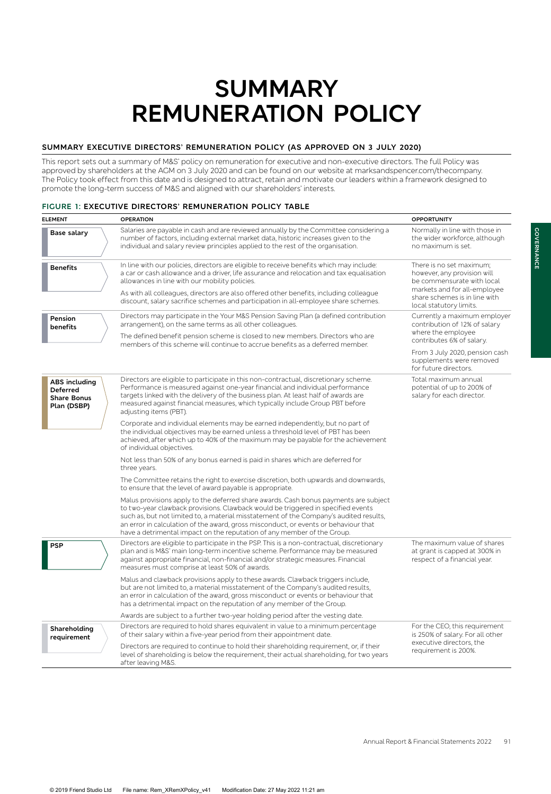# **SUMMARY REMUNERATION POLICY**

### **SUMMARY EXECUTIVE DIRECTORS' REMUNERATION POLICY (AS APPROVED ON 3 JULY 2020)**

This report sets out a summary of M&S' policy on remuneration for executive and non-executive directors. The full Policy was approved by shareholders at the AGM on 3 July 2020 and can be found on our website at marksandspencer.com/thecompany. The Policy took effect from this date and is designed to attract, retain and motivate our leaders within a framework designed to promote the long-term success of M&S and aligned with our shareholders' interests.

#### **FIGURE 1: EXECUTIVE DIRECTORS' REMUNERATION POLICY TABLE**

| <b>ELEMENT</b>                                                               | <b>OPERATION</b>                                                                                                                                                                                                                                                                                                                                                                                                                     | <b>OPPORTUNITY</b>                                                                                                                                                                |
|------------------------------------------------------------------------------|--------------------------------------------------------------------------------------------------------------------------------------------------------------------------------------------------------------------------------------------------------------------------------------------------------------------------------------------------------------------------------------------------------------------------------------|-----------------------------------------------------------------------------------------------------------------------------------------------------------------------------------|
| Base salary                                                                  | Salaries are payable in cash and are reviewed annually by the Committee considering a<br>number of factors, including external market data, historic increases given to the<br>individual and salary review principles applied to the rest of the organisation.                                                                                                                                                                      | Normally in line with those in<br>the wider workforce, although<br>no maximum is set.                                                                                             |
| <b>Benefits</b>                                                              | In line with our policies, directors are eligible to receive benefits which may include:<br>a car or cash allowance and a driver, life assurance and relocation and tax equalisation<br>allowances in line with our mobility policies.<br>As with all colleagues, directors are also offered other benefits, including colleague<br>discount, salary sacrifice schemes and participation in all-employee share schemes.              | There is no set maximum;<br>however, any provision will<br>be commensurate with local<br>markets and for all-employee<br>share schemes is in line with<br>local statutory limits. |
| Pension<br>benefits                                                          | Directors may participate in the Your M&S Pension Saving Plan (a defined contribution<br>arrangement), on the same terms as all other colleagues.<br>The defined benefit pension scheme is closed to new members. Directors who are<br>members of this scheme will continue to accrue benefits as a deferred member.                                                                                                                 | Currently a maximum employer<br>contribution of 12% of salary<br>where the employee<br>contributes 6% of salary.                                                                  |
|                                                                              |                                                                                                                                                                                                                                                                                                                                                                                                                                      | From 3 July 2020, pension cash<br>supplements were removed<br>for future directors.                                                                                               |
| <b>ABS</b> including<br><b>Deferred</b><br><b>Share Bonus</b><br>Plan (DSBP) | Directors are eligible to participate in this non-contractual, discretionary scheme.<br>Performance is measured against one-year financial and individual performance<br>targets linked with the delivery of the business plan. At least half of awards are<br>measured against financial measures, which typically include Group PBT before<br>adjusting items (PBT).                                                               | Total maximum annual<br>potential of up to 200% of<br>salary for each director.                                                                                                   |
|                                                                              | Corporate and individual elements may be earned independently, but no part of<br>the individual objectives may be earned unless a threshold level of PBT has been<br>achieved, after which up to 40% of the maximum may be payable for the achievement<br>of individual objectives.                                                                                                                                                  |                                                                                                                                                                                   |
|                                                                              | Not less than 50% of any bonus earned is paid in shares which are deferred for<br>three years.                                                                                                                                                                                                                                                                                                                                       |                                                                                                                                                                                   |
|                                                                              | The Committee retains the right to exercise discretion, both upwards and downwards,<br>to ensure that the level of award payable is appropriate.                                                                                                                                                                                                                                                                                     |                                                                                                                                                                                   |
|                                                                              | Malus provisions apply to the deferred share awards. Cash bonus payments are subject<br>to two-year clawback provisions. Clawback would be triggered in specified events<br>such as, but not limited to, a material misstatement of the Company's audited results,<br>an error in calculation of the award, gross misconduct, or events or behaviour that<br>have a detrimental impact on the reputation of any member of the Group. |                                                                                                                                                                                   |
| <b>PSP</b>                                                                   | Directors are eligible to participate in the PSP. This is a non-contractual, discretionary<br>plan and is M&S' main long-term incentive scheme. Performance may be measured<br>against appropriate financial, non-financial and/or strategic measures. Financial<br>measures must comprise at least 50% of awards.                                                                                                                   | The maximum value of shares<br>at grant is capped at 300% in<br>respect of a financial year.                                                                                      |
|                                                                              | Malus and clawback provisions apply to these awards. Clawback triggers include,<br>but are not limited to, a material misstatement of the Company's audited results,<br>an error in calculation of the award, gross misconduct or events or behaviour that<br>has a detrimental impact on the reputation of any member of the Group.                                                                                                 |                                                                                                                                                                                   |
|                                                                              | Awards are subject to a further two-year holding period after the vesting date.                                                                                                                                                                                                                                                                                                                                                      |                                                                                                                                                                                   |
| Shareholding<br>requirement                                                  | Directors are required to hold shares equivalent in value to a minimum percentage<br>of their salary within a five-year period from their appointment date.                                                                                                                                                                                                                                                                          | For the CEO, this requirement<br>is 250% of salary. For all other                                                                                                                 |
|                                                                              | Directors are required to continue to hold their shareholding requirement, or, if their<br>level of shareholding is below the requirement, their actual shareholding, for two years<br>after leaving M&S.                                                                                                                                                                                                                            | executive directors, the<br>requirement is 200%.                                                                                                                                  |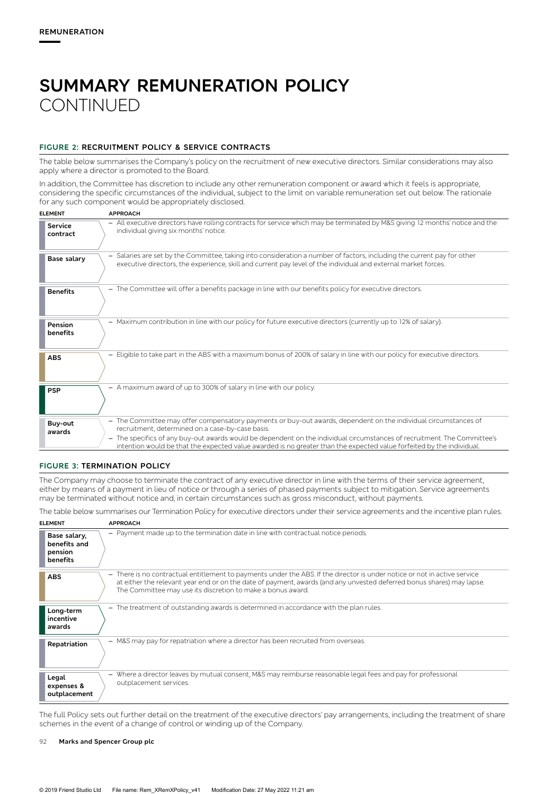# **SUMMARY REMUNERATION POLICY CONTINUED**

# **FIGURE 2: RECRUITMENT POLICY & SERVICE CONTRACTS**

The table below summarises the Company's policy on the recruitment of new executive directors. Similar considerations may also apply where a director is promoted to the Board.

In addition, the Committee has discretion to include any other remuneration component or award which it feels is appropriate, considering the specific circumstances of the individual, subject to the limit on variable remuneration set out below. The rationale for any such component would be appropriately disclosed.

| <b>ELEMENT</b>             | <b>APPROACH</b>                                                                                                                                                                                                                                   |
|----------------------------|---------------------------------------------------------------------------------------------------------------------------------------------------------------------------------------------------------------------------------------------------|
| <b>Service</b><br>contract | - All executive directors have rolling contracts for service which may be terminated by M&S giving 12 months' notice and the<br>individual giving six months' notice.                                                                             |
| Base salary                | - Salaries are set by the Committee, taking into consideration a number of factors, including the current pay for other<br>executive directors, the experience, skill and current pay level of the individual and external market forces.         |
| <b>Benefits</b>            | - The Committee will offer a benefits package in line with our benefits policy for executive directors.                                                                                                                                           |
| Pension<br>benefits        | - Maximum contribution in line with our policy for future executive directors (currently up to 12% of salary).                                                                                                                                    |
| <b>ABS</b>                 | Eligible to take part in the ABS with a maximum bonus of 200% of salary in line with our policy for executive directors.<br>$\overline{\phantom{0}}$                                                                                              |
| <b>PSP</b>                 | - A maximum award of up to 300% of salary in line with our policy.                                                                                                                                                                                |
| Buy-out<br>awards          | - The Committee may offer compensatory payments or buy-out awards, dependent on the individual circumstances of<br>recruitment, determined on a case-by-case basis.                                                                               |
|                            | - The specifics of any buy-out awards would be dependent on the individual circumstances of recruitment. The Committee's<br>intention would be that the expected value awarded is no greater than the expected value forfeited by the individual. |

#### **FIGURE 3: TERMINATION POLICY**

The Company may choose to terminate the contract of any executive director in line with the terms of their service agreement, either by means of a payment in lieu of notice or through a series of phased payments subject to mitigation. Service agreements may be terminated without notice and, in certain circumstances such as gross misconduct, without payments.

The table below summarises our Termination Policy for executive directors under their service agreements and the incentive plan rules.

| <b>ELEMENT</b>                                      | <b>APPROACH</b>                                                                                                                                                                                                                                                                                                   |
|-----------------------------------------------------|-------------------------------------------------------------------------------------------------------------------------------------------------------------------------------------------------------------------------------------------------------------------------------------------------------------------|
| Base salary,<br>benefits and<br>pension<br>benefits | - Payment made up to the termination date in line with contractual notice periods.                                                                                                                                                                                                                                |
| <b>ABS</b>                                          | - There is no contractual entitlement to payments under the ABS. If the director is under notice or not in active service<br>at either the relevant year end or on the date of payment, awards (and any unvested deferred bonus shares) may lapse.<br>The Committee may use its discretion to make a bonus award. |
| Long-term<br>incentive<br>awards                    | - The treatment of outstanding awards is determined in accordance with the plan rules.                                                                                                                                                                                                                            |
| Repatriation                                        | - M&S may pay for repatriation where a director has been recruited from overseas.                                                                                                                                                                                                                                 |
| Legal<br>expenses &<br>outplacement                 | - Where a director leaves by mutual consent, M&S may reimburse reasonable legal fees and pay for professional<br>outplacement services.                                                                                                                                                                           |

The full Policy sets out further detail on the treatment of the executive directors' pay arrangements, including the treatment of share schemes in the event of a change of control or winding up of the Company.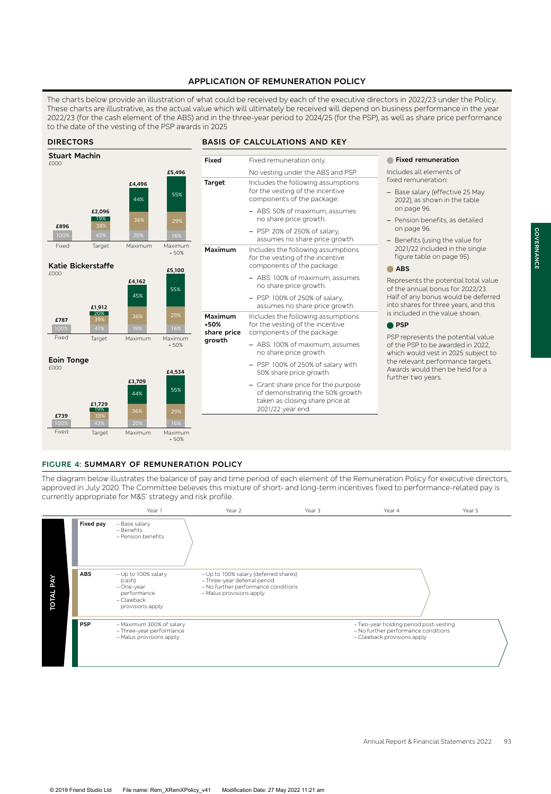# **APPLICATION OF REMUNERATION POLICY**

The charts below provide an illustration of what could be received by each of the executive directors in 2022/23 under the Policy. These charts are illustrative, as the actual value which will ultimately be received will depend on business performance in the year 2022/23 (for the cash element of the ABS) and in the three-year period to 2024/25 (for the PSP), as well as share price performance to the date of the vesting of the PSP awards in 2025



#### **FIGURE 4: SUMMARY OF REMUNERATION POLICY**

The diagram below illustrates the balance of pay and time period of each element of the Remuneration Policy for executive directors, approved in July 2020. The Committee believes this mixture of short- and long-term incentives fixed to performance-related pay is currently appropriate for M&S' strategy and risk profile.



**GOVERNANCE**

COVERNANCE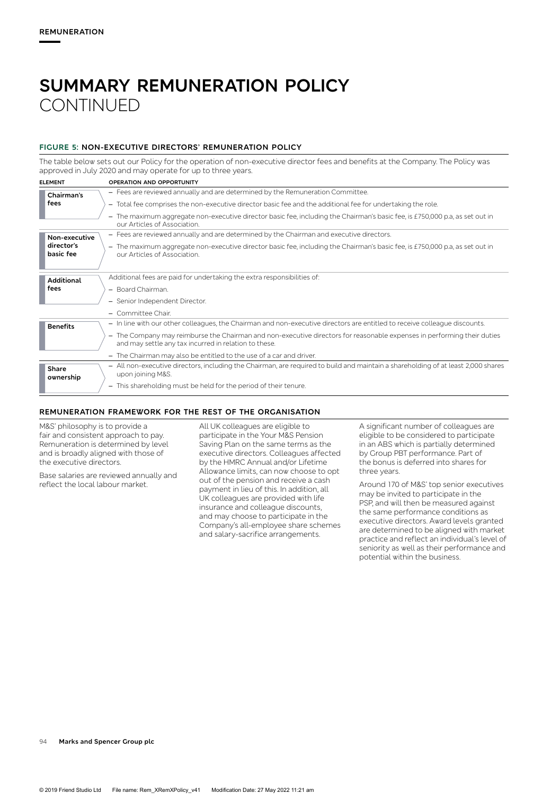# **SUMMARY REMUNERATION POLICY CONTINUED**

# **FIGURE 5: NON-EXECUTIVE DIRECTORS' REMUNERATION POLICY**

The table below sets out our Policy for the operation of non-executive director fees and benefits at the Company. The Policy was approved in July 2020 and may operate for up to three years.

| <b>ELEMENT</b>          | OPERATION AND OPPORTUNITY                                                                                                                                                        |
|-------------------------|----------------------------------------------------------------------------------------------------------------------------------------------------------------------------------|
| Chairman's              | - Fees are reviewed annually and are determined by the Remuneration Committee.                                                                                                   |
| fees                    | - Total fee comprises the non-executive director basic fee and the additional fee for undertaking the role.                                                                      |
|                         | - The maximum aggregate non-executive director basic fee, including the Chairman's basic fee, is £750,000 p.a, as set out in<br>our Articles of Association.                     |
| Non-executive           | - Fees are reviewed annually and are determined by the Chairman and executive directors.                                                                                         |
| director's<br>basic fee | The maximum aggregate non-executive director basic fee, including the Chairman's basic fee, is £750,000 p.a, as set out in<br>-<br>our Articles of Association.                  |
| <b>Additional</b>       | Additional fees are paid for undertaking the extra responsibilities of:                                                                                                          |
| fees                    | - Board Chairman.                                                                                                                                                                |
|                         | - Senior Independent Director.                                                                                                                                                   |
|                         | - Committee Chair.                                                                                                                                                               |
| <b>Benefits</b>         | - In line with our other colleagues, the Chairman and non-executive directors are entitled to receive colleague discounts.                                                       |
|                         | - The Company may reimburse the Chairman and non-executive directors for reasonable expenses in performing their duties<br>and may settle any tax incurred in relation to these. |
|                         | - The Chairman may also be entitled to the use of a car and driver.                                                                                                              |
| Share<br>ownership      | - All non-executive directors, including the Chairman, are required to build and maintain a shareholding of at least 2,000 shares<br>upon joining M&S.                           |
|                         | - This shareholding must be held for the period of their tenure.                                                                                                                 |

#### **REMUNERATION FRAMEWORK FOR THE REST OF THE ORGANISATION**

M&S' philosophy is to provide a fair and consistent approach to pay. Remuneration is determined by level and is broadly aligned with those of the executive directors.

Base salaries are reviewed annually and reflect the local labour market.

All UK colleagues are eligible to participate in the Your M&S Pension Saving Plan on the same terms as the executive directors. Colleagues affected by the HMRC Annual and/or Lifetime Allowance limits, can now choose to opt out of the pension and receive a cash payment in lieu of this. In addition, all UK colleagues are provided with life insurance and colleague discounts, and may choose to participate in the Company's all-employee share schemes and salary-sacrifice arrangements.

A significant number of colleagues are eligible to be considered to participate in an ABS which is partially determined by Group PBT performance. Part of the bonus is deferred into shares for three years.

Around 170 of M&S' top senior executives may be invited to participate in the PSP, and will then be measured against the same performance conditions as executive directors. Award levels granted are determined to be aligned with market practice and reflect an individual's level of seniority as well as their performance and potential within the business.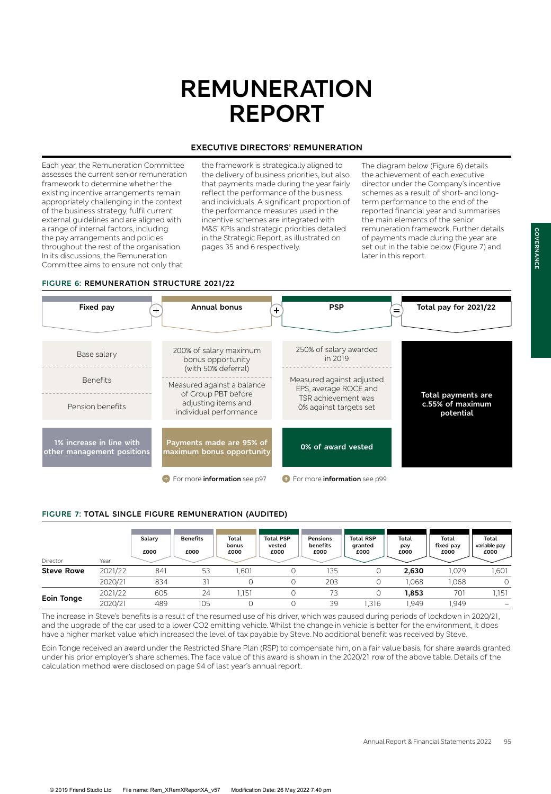# **REMUNERATION REPORT**

### **EXECUTIVE DIRECTORS' REMUNERATION**

Each year, the Remuneration Committee assesses the current senior remuneration framework to determine whether the existing incentive arrangements remain appropriately challenging in the context of the business strategy, fulfil current external guidelines and are aligned with a range of internal factors, including the pay arrangements and policies throughout the rest of the organisation. In its discussions, the Remuneration Committee aims to ensure not only that

the framework is strategically aligned to the delivery of business priorities, but also that payments made during the year fairly reflect the performance of the business and individuals. A significant proportion of the performance measures used in the incentive schemes are integrated with M&S' KPIs and strategic priorities detailed in the Strategic Report, as illustrated on pages 35 and 6 respectively.

The diagram below (Figure 6) details the achievement of each executive director under the Company's incentive schemes as a result of short- and longterm performance to the end of the reported financial year and summarises the main elements of the senior remuneration framework. Further details of payments made during the year are set out in the table below (Figure 7) and later in this report.

# **FIGURE 6: REMUNERATION STRUCTURE 2021/22**



#### **FIGURE 7: TOTAL SINGLE FIGURE REMUNERATION (AUDITED)**

| Director          | Year    | Salary<br>£000 | <b>Benefits</b><br>£000 | Total<br>bonus<br>£000 | <b>Total PSP</b><br>vested<br>£000 | Pensions<br>benefits<br>£000 | <b>Total RSP</b><br>granted<br>£000 | Total<br>pay<br>£000 | Total<br>fixed pay<br>£000 | Total<br>variable pay<br>£000 |
|-------------------|---------|----------------|-------------------------|------------------------|------------------------------------|------------------------------|-------------------------------------|----------------------|----------------------------|-------------------------------|
| <b>Steve Rowe</b> | 2021/22 | 841            | 53                      | 1.601                  |                                    | 135                          | U                                   | 2,630                | 1,029                      | ,601                          |
|                   | 2020/21 | 834            | 31                      |                        |                                    | 203                          |                                     | ,068                 | 1,068                      | $\Omega$                      |
| <b>Eoin Tonge</b> | 2021/22 | 605            | 24                      | ,151                   | 0                                  | 73                           | 0                                   | 1,853                | 701                        | 1.151                         |
|                   | 2020/21 | 489            | 105                     |                        |                                    | 39                           | .316                                | .949                 | 1.949                      | $\qquad \qquad$               |

The increase in Steve's benefits is a result of the resumed use of his driver, which was paused during periods of lockdown in 2020/21, and the upgrade of the car used to a lower CO2 emitting vehicle. Whilst the change in vehicle is better for the environment, it does have a higher market value which increased the level of tax payable by Steve. No additional benefit was received by Steve.

Eoin Tonge received an award under the Restricted Share Plan (RSP) to compensate him, on a fair value basis, for share awards granted under his prior employer's share schemes. The face value of this award is shown in the 2020/21 row of the above table. Details of the calculation method were disclosed on page 94 of last year's annual report.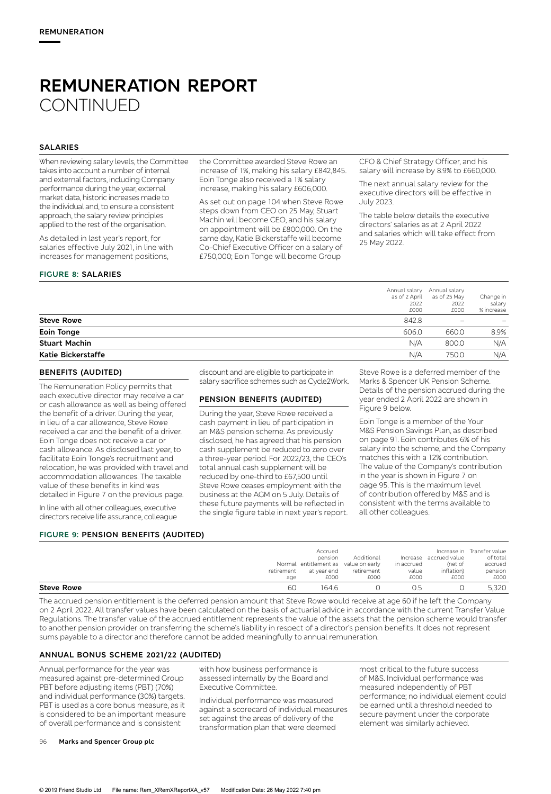### **SALARIES**

When reviewing salary levels, the Committee takes into account a number of internal and external factors, including Company performance during the year, external market data, historic increases made to the individual and, to ensure a consistent approach, the salary review principles applied to the rest of the organisation.

As detailed in last year's report, for salaries effective July 2021, in line with increases for management positions,

#### **FIGURE 8: SALARIES**

the Committee awarded Steve Rowe an increase of 1%, making his salary £842,845. Eoin Tonge also received a 1% salary increase, making his salary £606,000.

As set out on page 104 when Steve Rowe steps down from CEO on 25 May, Stuart Machin will become CEO, and his salary on appointment will be £800,000. On the same day, Katie Bickerstaffe will become Co-Chief Executive Officer on a salary of £750,000; Eoin Tonge will become Group

CFO & Chief Strategy Officer, and his salary will increase by 8.9% to £660,000.

The next annual salary review for the executive directors will be effective in July 2023.

The table below details the executive directors' salaries as at 2 April 2022 and salaries which will take effect from 25 May 2022.

|                      | 2022<br>£000 | as of 2 April<br>as of 25 May<br>2022<br>£000 | Change in<br>salary<br>% increase |
|----------------------|--------------|-----------------------------------------------|-----------------------------------|
| <b>Steve Rowe</b>    | 842.8        |                                               |                                   |
| <b>Eoin Tonge</b>    | 606.0        | 660.0                                         | 8.9%                              |
| <b>Stuart Machin</b> | N/A          | 800.0                                         | N/A                               |
| Katie Bickerstaffe   | N/A          | 750.0                                         | N/A                               |

#### **BENEFITS (AUDITED)**

The Remuneration Policy permits that each executive director may receive a car or cash allowance as well as being offered the benefit of a driver. During the year, in lieu of a car allowance, Steve Rowe received a car and the benefit of a driver. Eoin Tonge does not receive a car or cash allowance. As disclosed last year, to facilitate Eoin Tonge's recruitment and relocation, he was provided with travel and accommodation allowances. The taxable value of these benefits in kind was detailed in Figure 7 on the previous page.

In line with all other colleagues, executive directors receive life assurance, colleague

# **FIGURE 9: PENSION BENEFITS (AUDITED)**

discount and are eligible to participate in salary sacrifice schemes such as Cycle2Work.

# **PENSION BENEFITS (AUDITED)**

During the year, Steve Rowe received a cash payment in lieu of participation in an M&S pension scheme. As previously disclosed, he has agreed that his pension cash supplement be reduced to zero over a three-year period. For 2022/23, the CEO's total annual cash supplement will be reduced by one-third to £67,500 until Steve Rowe ceases employment with the business at the AGM on 5 July. Details of these future payments will be reflected in the single figure table in next year's report. Steve Rowe is a deferred member of the Marks & Spencer UK Pension Scheme. Details of the pension accrued during the year ended 2 April 2022 are shown in Figure 9 below.

Eoin Tonge is a member of the Your M&S Pension Savings Plan, as described on page 91. Eoin contributes 6% of his salary into the scheme, and the Company matches this with a 12% contribution. The value of the Company's contribution in the year is shown in Figure 7 on page 95. This is the maximum level of contribution offered by M&S and is consistent with the terms available to all other colleagues.

| <b>Steve Rowe</b><br>60 | 1646                                 |            | 0.5        |                        | 5.320                      |
|-------------------------|--------------------------------------|------------|------------|------------------------|----------------------------|
| age                     | £000                                 | £000       | £000       | £000                   | £000                       |
| retirement              | at year end                          | retirement | value      | inflation)             | pension                    |
|                         | Normal entitlement as value on early |            | in accrued | (net of                | accrued                    |
|                         | pension                              | Additional |            | Increase accrued value | of total                   |
|                         | Accrued                              |            |            |                        | Increase in Transfer value |
|                         |                                      |            |            |                        |                            |

The accrued pension entitlement is the deferred pension amount that Steve Rowe would receive at age 60 if he left the Company on 2 April 2022. All transfer values have been calculated on the basis of actuarial advice in accordance with the current Transfer Value Regulations. The transfer value of the accrued entitlement represents the value of the assets that the pension scheme would transfer to another pension provider on transferring the scheme's liability in respect of a director's pension benefits. It does not represent sums payable to a director and therefore cannot be added meaningfully to annual remuneration.

# **ANNUAL BONUS SCHEME 2021/22 (AUDITED)**

Annual performance for the year was measured against pre-determined Group PBT before adjusting items (PBT) (70%) and individual performance (30%) targets. PBT is used as a core bonus measure, as it is considered to be an important measure of overall performance and is consistent

with how business performance is assessed internally by the Board and Executive Committee.

Individual performance was measured against a scorecard of individual measures set against the areas of delivery of the transformation plan that were deemed

most critical to the future success of M&S. Individual performance was measured independently of PBT performance; no individual element could be earned until a threshold needed to secure payment under the corporate element was similarly achieved.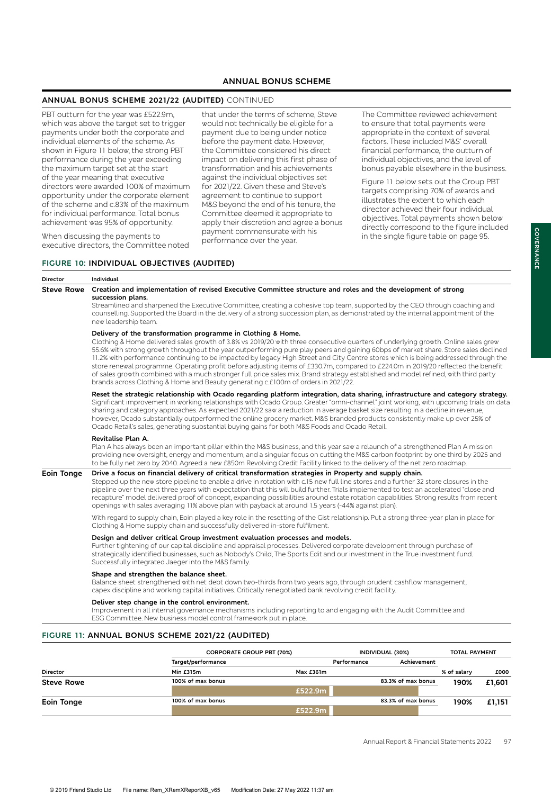# **ANNUAL BONUS SCHEME**

### **ANNUAL BONUS SCHEME 2021/22 (AUDITED)** CONTINUED

PBT outturn for the year was £522.9m, which was above the target set to trigger payments under both the corporate and individual elements of the scheme. As shown in Figure 11 below, the strong PBT performance during the year exceeding the maximum target set at the start of the year meaning that executive directors were awarded 100% of maximum opportunity under the corporate element of the scheme and c.83% of the maximum for individual performance. Total bonus achievement was 95% of opportunity.

When discussing the payments to executive directors, the Committee noted that under the terms of scheme, Steve would not technically be eligible for a payment due to being under notice before the payment date. However, the Committee considered his direct impact on delivering this first phase of transformation and his achievements against the individual objectives set for 2021/22. Given these and Steve's agreement to continue to support M&S beyond the end of his tenure, the Committee deemed it appropriate to apply their discretion and agree a bonus payment commensurate with his performance over the year.

The Committee reviewed achievement to ensure that total payments were appropriate in the context of several factors. These included M&S' overall financial performance, the outturn of individual objectives, and the level of bonus payable elsewhere in the business.

Figure 11 below sets out the Group PBT targets comprising 70% of awards and illustrates the extent to which each director achieved their four individual objectives. Total payments shown below directly correspond to the figure included in the single figure table on page 95.

#### **FIGURE 10: INDIVIDUAL OBJECTIVES (AUDITED)**

| <b>Director</b>   | Individual                                                                                                                                                                                                                                                                                                                                                                                                                                                                                                                                                                                                                                                                                                                                                                                                                                    |
|-------------------|-----------------------------------------------------------------------------------------------------------------------------------------------------------------------------------------------------------------------------------------------------------------------------------------------------------------------------------------------------------------------------------------------------------------------------------------------------------------------------------------------------------------------------------------------------------------------------------------------------------------------------------------------------------------------------------------------------------------------------------------------------------------------------------------------------------------------------------------------|
| <b>Steve Rowe</b> | Creation and implementation of revised Executive Committee structure and roles and the development of strong<br>succession plans.<br>Streamlined and sharpened the Executive Committee, creating a cohesive top team, supported by the CEO through coaching and<br>counselling. Supported the Board in the delivery of a strong succession plan, as demonstrated by the internal appointment of the<br>new leadership team.                                                                                                                                                                                                                                                                                                                                                                                                                   |
|                   | Delivery of the transformation programme in Clothing & Home.<br>Clothing & Home delivered sales growth of 3.8% vs 2019/20 with three consecutive quarters of underlying growth. Online sales grew<br>55.6% with strong growth throughout the year outperforming pure play peers and gaining 60bps of market share. Store sales declined<br>11.2% with performance continuing to be impacted by legacy High Street and City Centre stores which is being addressed through the<br>store renewal programme. Operating profit before adjusting items of £330.7m, compared to £224.0m in 2019/20 reflected the benefit<br>of sales growth combined with a much stronger full price sales mix. Brand strategy established and model refined, with third party<br>brands across Clothing & Home and Beauty generating c.£100m of orders in 2021/22. |
|                   | Reset the strategic relationship with Ocado regarding platform integration, data sharing, infrastructure and category strategy.<br>Significant improvement in working relationships with Ocado Group. Greater "omni-channel" joint working, with upcoming trials on data<br>sharing and category approaches. As expected 2021/22 saw a reduction in average basket size resulting in a decline in revenue,<br>however, Ocado substantially outperformed the online grocery market. M&S branded products consistently make up over 25% of<br>Ocado Retail's sales, generating substantial buying gains for both M&S Foods and Ocado Retail.                                                                                                                                                                                                    |
|                   | Revitalise Plan A.<br>Plan A has always been an important pillar within the M&S business, and this year saw a relaunch of a strengthened Plan A mission<br>providing new oversight, energy and momentum, and a singular focus on cutting the M&S carbon footprint by one third by 2025 and<br>to be fully net zero by 2040. Agreed a new £850m Revolving Credit Facility linked to the delivery of the net zero roadmap.                                                                                                                                                                                                                                                                                                                                                                                                                      |
| <b>Eoin Tonge</b> | Drive a focus on financial delivery of critical transformation strategies in Property and supply chain.<br>Stepped up the new store pipeline to enable a drive in rotation with c.15 new full line stores and a further 32 store closures in the<br>pipeline over the next three years with expectation that this will build further. Trials implemented to test an accelerated "close and<br>recapture" model delivered proof of concept, expanding possibilities around estate rotation capabilities. Strong results from recent<br>openings with sales averaging 11% above plan with payback at around 1.5 years (-44% against plan).                                                                                                                                                                                                      |
|                   | With regard to supply chain, Eoin played a key role in the resetting of the Gist relationship. Put a strong three-year plan in place for<br>Clothing & Home supply chain and successfully delivered in-store fulfilment.                                                                                                                                                                                                                                                                                                                                                                                                                                                                                                                                                                                                                      |
|                   | Design and deliver critical Group investment evaluation processes and models.<br>Further tightening of our capital discipline and appraisal processes. Delivered corporate development through purchase of<br>strategically identified businesses, such as Nobody's Child, The Sports Edit and our investment in the True investment fund.<br>Successfully integrated Jaeger into the M&S family.                                                                                                                                                                                                                                                                                                                                                                                                                                             |
|                   | Shape and strengthen the balance sheet.<br>Balance sheet strengthened with net debt down two-thirds from two years ago, through prudent cashflow management,<br>capex discipline and working capital initiatives. Critically renegotiated bank revolving credit facility.                                                                                                                                                                                                                                                                                                                                                                                                                                                                                                                                                                     |
|                   | Deliver step change in the control environment.<br>Improvement in all internal governance mechanisms including reporting to and engaging with the Audit Committee and<br>ESG Committee. New business model control framework put in place.                                                                                                                                                                                                                                                                                                                                                                                                                                                                                                                                                                                                    |

|                   |                    | <b>CORPORATE GROUP PBT (70%)</b> |             | INDIVIDUAL (30%)   | <b>TOTAL PAYMENT</b> |        |
|-------------------|--------------------|----------------------------------|-------------|--------------------|----------------------|--------|
|                   | Target/performance |                                  | Performance | Achievement        |                      |        |
| <b>Director</b>   | Min £315m          | Max £361m                        |             |                    | % of salary          | £000   |
| <b>Steve Rowe</b> | 100% of max bonus  |                                  |             | 83.3% of max bonus | 190%                 | £1,601 |
|                   |                    | £522.9m                          |             |                    |                      |        |
| Eoin Tonge        | 100% of max bonus  |                                  |             | 83.3% of max bonus | 190%                 | £1,151 |
|                   |                    | £522.9m                          |             |                    |                      |        |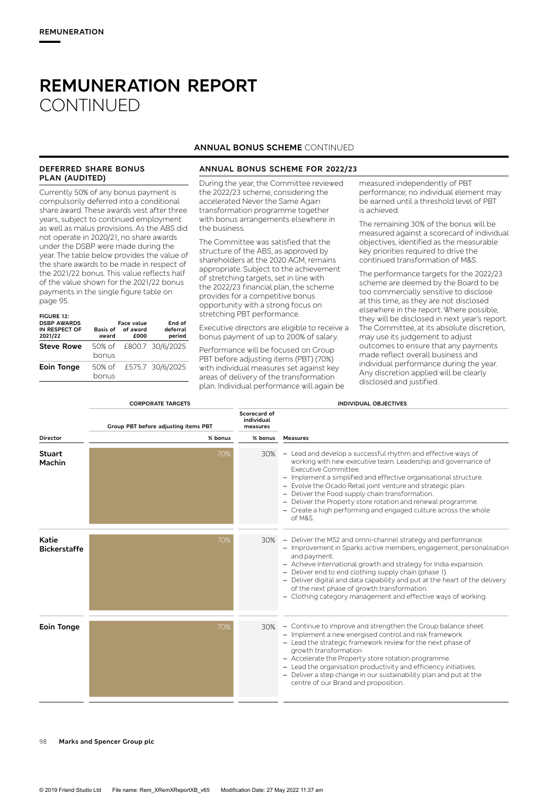#### **DEFERRED SHARE BONUS PLAN (AUDITED)**

Currently 50% of any bonus payment is compulsorily deferred into a conditional share award. These awards vest after three years, subject to continued employment as well as malus provisions. As the ABS did not operate in 2020/21, no share awards under the DSBP were made during the year. The table below provides the value of the share awards to be made in respect of the 2021/22 bonus. This value reflects half of the value shown for the 2021/22 bonus payments in the single figure table on page 95.

| <b>FIGURE 12:</b><br><b>DSBP AWARDS</b><br>IN RESPECT OF<br>2021/22 | award           | Face value<br>Basis of of award<br>fooo | End of<br>deferral<br>period |
|---------------------------------------------------------------------|-----------------|-----------------------------------------|------------------------------|
| <b>Steve Rowe</b>                                                   | bonus           |                                         | 50% of £800.7 30/6/2025      |
| <b>Eoin Tonge</b>                                                   | 50% of<br>bonus |                                         | £575.7 30/6/2025             |

#### **ANNUAL BONUS SCHEME** CONTINUED

#### **ANNUAL BONUS SCHEME FOR 2022/23**

During the year, the Committee reviewed the 2022/23 scheme, considering the accelerated Never the Same Again transformation programme together with bonus arrangements elsewhere in the business.

The Committee was satisfied that the structure of the ABS, as approved by shareholders at the 2020 AGM, remains appropriate. Subject to the achievement of stretching targets, set in line with the 2022/23 financial plan, the scheme provides for a competitive bonus opportunity with a strong focus on stretching PBT performance.

Executive directors are eligible to receive a bonus payment of up to 200% of salary.

Performance will be focused on Group PBT before adjusting items (PBT) (70%) with individual measures set against key areas of delivery of the transformation plan. Individual performance will again be measured independently of PBT performance; no individual element may be earned until a threshold level of PBT is achieved.

The remaining 30% of the bonus will be measured against a scorecard of individual objectives, identified as the measurable key priorities required to drive the continued transformation of M&S.

The performance targets for the 2022/23 scheme are deemed by the Board to be too commercially sensitive to disclose at this time, as they are not disclosed elsewhere in the report. Where possible, they will be disclosed in next year's report. The Committee, at its absolute discretion, may use its judgement to adjust outcomes to ensure that any payments made reflect overall business and individual performance during the year. Any discretion applied will be clearly disclosed and justified.

|                              | <b>CORPORATE TARGETS</b>             | <b>INDIVIDUAL OBJECTIVES</b>           |                                                                                                                                                                                                                                                                                                                                                                                                                                                                                           |  |  |
|------------------------------|--------------------------------------|----------------------------------------|-------------------------------------------------------------------------------------------------------------------------------------------------------------------------------------------------------------------------------------------------------------------------------------------------------------------------------------------------------------------------------------------------------------------------------------------------------------------------------------------|--|--|
|                              | Group PBT before adjusting items PBT | Scorecard of<br>individual<br>measures |                                                                                                                                                                                                                                                                                                                                                                                                                                                                                           |  |  |
| <b>Director</b>              | % bonus                              | % bonus                                | <b>Measures</b>                                                                                                                                                                                                                                                                                                                                                                                                                                                                           |  |  |
| <b>Stuart</b><br>Machin      | 70%                                  | 30%                                    | - Lead and develop a successful rhythm and effective ways of<br>working with new executive team. Leadership and governance of<br>Executive Committee.<br>- Implement a simplified and effective organisational structure.<br>- Evolve the Ocado Retail joint venture and strategic plan.<br>- Deliver the Food supply chain transformation.<br>- Deliver the Property store rotation and renewal programme.<br>- Create a high performing and engaged culture across the whole<br>of M&S. |  |  |
| Katie<br><b>Bickerstaffe</b> | 70%                                  | 30%                                    | - Deliver the MS2 and omni-channel strategy and performance.<br>- Improvement in Sparks active members, engagement, personalisation<br>and payment.<br>- Achieve International growth and strategy for India expansion.<br>- Deliver end to end clothing supply chain (phase 1).<br>- Deliver digital and data capability and put at the heart of the delivery<br>of the next phase of growth transformation.<br>- Clothing category management and effective ways of working.            |  |  |
| Eoin Tonge                   | 70%                                  | 30%                                    | - Continue to improve and strengthen the Group balance sheet.<br>- Implement a new energised control and risk framework<br>- Lead the strategic framework review for the next phase of<br>growth transformation<br>- Accelerate the Property store rotation programme.<br>- Lead the organisation productivity and efficiency initiatives.<br>- Deliver a step change in our sustainability plan and put at the<br>centre of our Brand and proposition.                                   |  |  |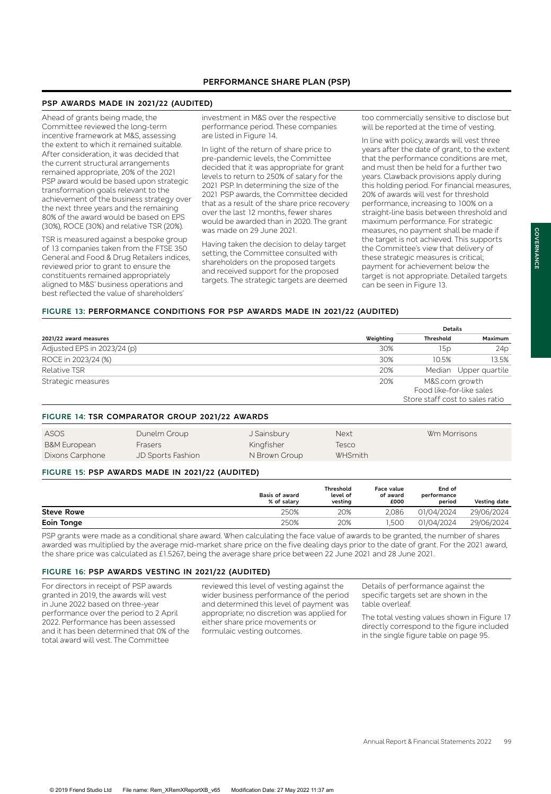#### **PSP AWARDS MADE IN 2021/22 (AUDITED)**

Ahead of grants being made, the Committee reviewed the long-term incentive framework at M&S, assessing the extent to which it remained suitable. After consideration, it was decided that the current structural arrangements remained appropriate, 20% of the 2021 PSP award would be based upon strategic transformation goals relevant to the achievement of the business strategy over the next three years and the remaining 80% of the award would be based on EPS (30%), ROCE (30%) and relative TSR (20%).

TSR is measured against a bespoke group of 13 companies taken from the FTSE 350 General and Food & Drug Retailers indices, reviewed prior to grant to ensure the constituents remained appropriately aligned to M&S' business operations and best reflected the value of shareholders'

investment in M&S over the respective performance period. These companies are listed in Figure 14.

In light of the return of share price to pre-pandemic levels, the Committee decided that it was appropriate for grant levels to return to 250% of salary for the 2021 PSP. In determining the size of the 2021 PSP awards, the Committee decided that as a result of the share price recovery over the last 12 months, fewer shares would be awarded than in 2020. The grant was made on 29 June 2021.

Having taken the decision to delay target setting, the Committee consulted with shareholders on the proposed targets and received support for the proposed targets. The strategic targets are deemed too commercially sensitive to disclose but will be reported at the time of vesting.

In line with policy, awards will vest three years after the date of grant, to the extent that the performance conditions are met, and must then be held for a further two years. Clawback provisions apply during this holding period. For financial measures, 20% of awards will vest for threshold performance, increasing to 100% on a straight-line basis between threshold and maximum performance. For strategic measures, no payment shall be made if the target is not achieved. This supports the Committee's view that delivery of these strategic measures is critical; payment for achievement below the target is not appropriate. Detailed targets can be seen in Figure 13.

### **FIGURE 13: PERFORMANCE CONDITIONS FOR PSP AWARDS MADE IN 2021/22 (AUDITED)**

|                             |           | <b>Details</b>                  |                       |
|-----------------------------|-----------|---------------------------------|-----------------------|
| 2021/22 award measures      | Weighting | Threshold                       | Maximum               |
| Adjusted EPS in 2023/24 (p) | 30%       | 15p                             | 24p                   |
| ROCE in 2023/24 (%)         | 30%       | 10.5%                           | 13.5%                 |
| Relative TSR                | 20%       |                                 | Median Upper quartile |
| Strategic measures          | 20%       | M&S.com growth                  |                       |
|                             |           | Food like-for-like sales        |                       |
|                             |           | Store staff cost to sales ratio |                       |

#### **FIGURE 14: TSR COMPARATOR GROUP 2021/22 AWARDS**

| ASOS                    | Dunelm Group             | J Sainsbury   | Next           | Wm Morrisons |
|-------------------------|--------------------------|---------------|----------------|--------------|
| <b>B&amp;M European</b> | <b>Frasers</b>           | Kingfisher    | Tesco          |              |
| Dixons Carphone         | <b>JD Sports Fashion</b> | N Brown Group | <b>WHSmith</b> |              |

#### **FIGURE 15: PSP AWARDS MADE IN 2021/22 (AUDITED)**

|                   | <b>Basis of award</b><br>% of salary | <b>Threshold</b><br>level of<br>vesting | Face value<br>of award<br>£000 | End of<br>performance<br>period | Vesting date |
|-------------------|--------------------------------------|-----------------------------------------|--------------------------------|---------------------------------|--------------|
| <b>Steve Rowe</b> | 250%                                 | 20%                                     | 2.086                          | 01/04/2024                      | 29/06/2024   |
| Eoin Tonge        | 250%                                 | 20%                                     | .500                           | 01/04/2024                      | 29/06/2024   |
|                   |                                      |                                         |                                |                                 |              |

PSP grants were made as a conditional share award. When calculating the face value of awards to be granted, the number of shares awarded was multiplied by the average mid-market share price on the five dealing days prior to the date of grant. For the 2021 award, the share price was calculated as £1.5267, being the average share price between 22 June 2021 and 28 June 2021.

#### **FIGURE 16: PSP AWARDS VESTING IN 2021/22 (AUDITED)**

For directors in receipt of PSP awards granted in 2019, the awards will vest in June 2022 based on three-year performance over the period to 2 April 2022. Performance has been assessed and it has been determined that 0% of the total award will vest. The Committee

reviewed this level of vesting against the wider business performance of the period and determined this level of payment was appropriate; no discretion was applied for either share price movements or formulaic vesting outcomes.

Details of performance against the specific targets set are shown in the table overleaf.

The total vesting values shown in Figure 17 directly correspond to the figure included in the single figure table on page 95.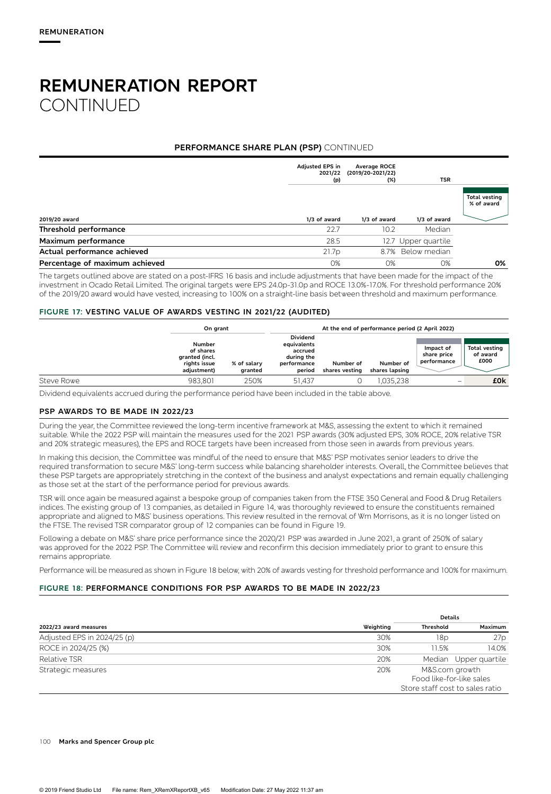### **PERFORMANCE SHARE PLAN (PSP)** CONTINUED

|                                | Adjusted EPS in<br>2021/22<br>(p) | Average ROCE<br>(2019/20-2021/22)<br>(%) | <b>TSR</b>          |                                    |
|--------------------------------|-----------------------------------|------------------------------------------|---------------------|------------------------------------|
|                                |                                   |                                          |                     | <b>Total vesting</b><br>% of award |
| 2019/20 award                  | 1/3 of award                      | 1/3 of award                             | 1/3 of award        |                                    |
| Threshold performance          | 22.7                              | 10.2                                     | Median              |                                    |
| Maximum performance            | 28.5                              |                                          | 12.7 Upper quartile |                                    |
| Actual performance achieved    | 21.7p                             |                                          | 8.7% Below median   |                                    |
| Percentage of maximum achieved | 0%                                | $O\%$                                    | 0%                  | 0%                                 |

The targets outlined above are stated on a post-IFRS 16 basis and include adjustments that have been made for the impact of the investment in Ocado Retail Limited. The original targets were EPS 24.0p-31.0p and ROCE 13.0%-17.0%. For threshold performance 20% of the 2019/20 award would have vested, increasing to 100% on a straight-line basis between threshold and maximum performance.

#### **FIGURE 17: VESTING VALUE OF AWARDS VESTING IN 2021/22 (AUDITED)**

|            | On grant                                                             |                        | At the end of performance period (2 April 2022)                                  |                             |                             |                                         |                                   |
|------------|----------------------------------------------------------------------|------------------------|----------------------------------------------------------------------------------|-----------------------------|-----------------------------|-----------------------------------------|-----------------------------------|
|            | Number<br>of shares<br>granted (incl.<br>rights issue<br>adjustment) | % of salary<br>granted | <b>Dividend</b><br>equivalents<br>accrued<br>during the<br>performance<br>period | Number of<br>shares vesting | Number of<br>shares lapsing | Impact of<br>share price<br>performance | Total vesting<br>of award<br>£000 |
| Steve Rowe | 983.801                                                              | 250%                   | 51.437                                                                           |                             | ,035,238                    |                                         | £0 <sub>k</sub>                   |

Dividend equivalents accrued during the performance period have been included in the table above.

#### **PSP AWARDS TO BE MADE IN 2022/23**

During the year, the Committee reviewed the long-term incentive framework at M&S, assessing the extent to which it remained suitable. While the 2022 PSP will maintain the measures used for the 2021 PSP awards (30% adjusted EPS, 30% ROCE, 20% relative TSR and 20% strategic measures), the EPS and ROCE targets have been increased from those seen in awards from previous years.

In making this decision, the Committee was mindful of the need to ensure that M&S' PSP motivates senior leaders to drive the required transformation to secure M&S' long-term success while balancing shareholder interests. Overall, the Committee believes that these PSP targets are appropriately stretching in the context of the business and analyst expectations and remain equally challenging as those set at the start of the performance period for previous awards.

TSR will once again be measured against a bespoke group of companies taken from the FTSE 350 General and Food & Drug Retailers indices. The existing group of 13 companies, as detailed in Figure 14, was thoroughly reviewed to ensure the constituents remained appropriate and aligned to M&S' business operations. This review resulted in the removal of Wm Morrisons, as it is no longer listed on the FTSE. The revised TSR comparator group of 12 companies can be found in Figure 19.

Following a debate on M&S' share price performance since the 2020/21 PSP was awarded in June 2021, a grant of 250% of salary was approved for the 2022 PSP. The Committee will review and reconfirm this decision immediately prior to grant to ensure this remains appropriate.

Performance will be measured as shown in Figure 18 below, with 20% of awards vesting for threshold performance and 100% for maximum.

### **FIGURE 18: PERFORMANCE CONDITIONS FOR PSP AWARDS TO BE MADE IN 2022/23**

|                             |           | <b>Details</b>                  |                                            |  |
|-----------------------------|-----------|---------------------------------|--------------------------------------------|--|
| 2022/23 award measures      | Weighting | Threshold                       | Maximum                                    |  |
| Adjusted EPS in 2024/25 (p) | 30%       | 18p                             | 27 <sub>p</sub>                            |  |
| ROCE in 2024/25 (%)         | 30%       | 11.5%                           | 14.0%                                      |  |
| Relative TSR                | 20%       |                                 | Median Upper quartile                      |  |
| Strategic measures          | 20%       | Store staff cost to sales ratio | M&S.com growth<br>Food like-for-like sales |  |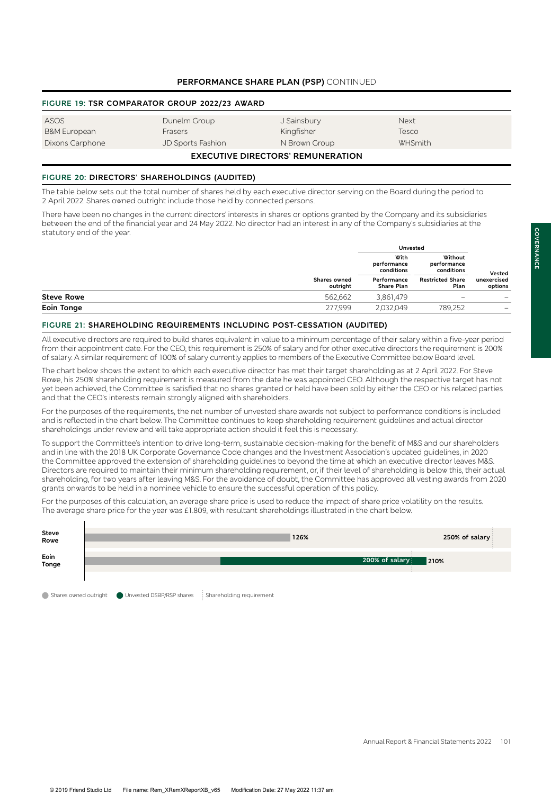# **PERFORMANCE SHARE PLAN (PSP)** CONTINUED

#### **FIGURE 19: TSR COMPARATOR GROUP 2022/23 AWARD**

| ASOS                                     | Dunelm Group      | J Sainsbury   | <b>Next</b> |  |
|------------------------------------------|-------------------|---------------|-------------|--|
| B&M European                             | <b>Frasers</b>    | Kingfisher    | Tesco       |  |
| Dixons Carphone                          | JD Sports Fashion | N Brown Group | WHSmith     |  |
| <b>EXECUTIVE DIRECTORS' REMUNERATION</b> |                   |               |             |  |

# **FIGURE 20: DIRECTORS' SHAREHOLDINGS (AUDITED)**

The table below sets out the total number of shares held by each executive director serving on the Board during the period to 2 April 2022. Shares owned outright include those held by connected persons.

There have been no changes in the current directors' interests in shares or options granted by the Company and its subsidiaries between the end of the financial year and 24 May 2022. No director had an interest in any of the Company's subsidiaries at the statutory end of the year.

|                   |                                 | Unvested                          |                                      |                          |
|-------------------|---------------------------------|-----------------------------------|--------------------------------------|--------------------------|
|                   |                                 | With<br>performance<br>conditions | Without<br>performance<br>conditions | Vested                   |
|                   | <b>Shares owned</b><br>outriaht | Performance<br>Share Plan         | <b>Restricted Share</b><br>Plan      | unexercised<br>options   |
| <b>Steve Rowe</b> | 562,662                         | 3,861,479                         |                                      |                          |
| Eoin Tonge        | 277.999                         | 2,032,049                         | 789,252                              | $\overline{\phantom{0}}$ |

#### **FIGURE 21: SHAREHOLDING REQUIREMENTS INCLUDING POST-CESSATION (AUDITED)**

All executive directors are required to build shares equivalent in value to a minimum percentage of their salary within a five-year period from their appointment date. For the CEO, this requirement is 250% of salary and for other executive directors the requirement is 200% of salary. A similar requirement of 100% of salary currently applies to members of the Executive Committee below Board level.

The chart below shows the extent to which each executive director has met their target shareholding as at 2 April 2022. For Steve Rowe, his 250% shareholding requirement is measured from the date he was appointed CEO. Although the respective target has not yet been achieved, the Committee is satisfied that no shares granted or held have been sold by either the CEO or his related parties and that the CEO's interests remain strongly aligned with shareholders.

For the purposes of the requirements, the net number of unvested share awards not subject to performance conditions is included and is reflected in the chart below. The Committee continues to keep shareholding requirement guidelines and actual director shareholdings under review and will take appropriate action should it feel this is necessary.

To support the Committee's intention to drive long-term, sustainable decision-making for the benefit of M&S and our shareholders and in line with the 2018 UK Corporate Governance Code changes and the Investment Association's updated guidelines, in 2020 the Committee approved the extension of shareholding guidelines to beyond the time at which an executive director leaves M&S. Directors are required to maintain their minimum shareholding requirement, or, if their level of shareholding is below this, their actual shareholding, for two years after leaving M&S. For the avoidance of doubt, the Committee has approved all vesting awards from 2020 grants onwards to be held in a nominee vehicle to ensure the successful operation of this policy.

For the purposes of this calculation, an average share price is used to reduce the impact of share price volatility on the results. The average share price for the year was £1.809, with resultant shareholdings illustrated in the chart below.

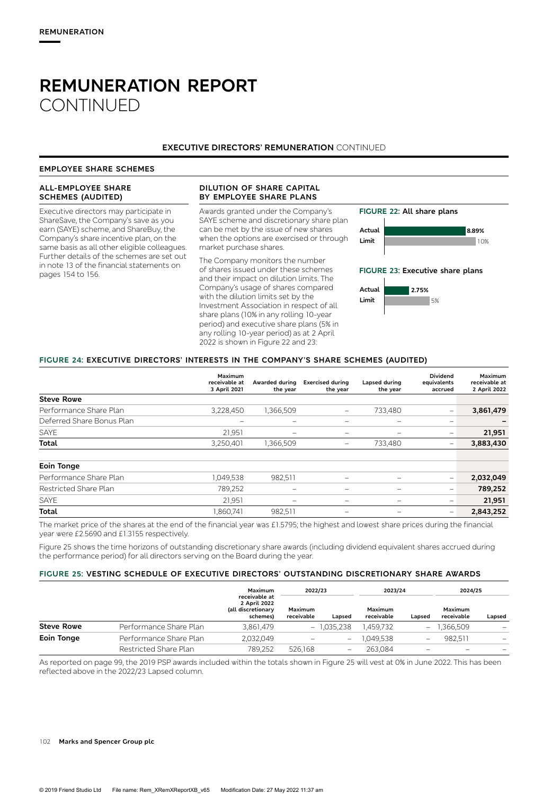#### **EXECUTIVE DIRECTORS' REMUNERATION** CONTINUED

#### **EMPLOYEE SHARE SCHEMES**

#### **ALL-EMPLOYEE SHARE SCHEMES (AUDITED)** Executive directors may participate in **DILUTION OF SHARE CAPITAL BY EMPLOYEE SHARE PLANS**  Awards granted under the Company's **FIGURE 22: All share plans**

ShareSave, the Company's save as you earn (SAYE) scheme, and ShareBuy, the Company's share incentive plan, on the same basis as all other eligible colleagues. Further details of the schemes are set out in note 13 of the financial statements on pages 154 to 156.

SAYE scheme and discretionary share plan can be met by the issue of new shares when the options are exercised or through market purchase shares.

The Company monitors the number of shares issued under these schemes and their impact on dilution limits. The Company's usage of shares compared with the dilution limits set by the Investment Association in respect of all share plans (10% in any rolling 10-year period) and executive share plans (5% in any rolling 10-year period) as at 2 April 2022 is shown in Figure 22 and 23:



**FIGURE 23: Executive share plans**



#### **FIGURE 24: EXECUTIVE DIRECTORS' INTERESTS IN THE COMPANY'S SHARE SCHEMES (AUDITED)**

|                           | Maximum<br>receivable at<br>3 April 2021 | Awarded during<br>the year | <b>Exercised during</b><br>the year | Lapsed during<br>the year | <b>Dividend</b><br>equivalents<br>accrued | <b>Maximum</b><br>receivable at<br>2 April 2022 |
|---------------------------|------------------------------------------|----------------------------|-------------------------------------|---------------------------|-------------------------------------------|-------------------------------------------------|
| <b>Steve Rowe</b>         |                                          |                            |                                     |                           |                                           |                                                 |
| Performance Share Plan    | 3,228,450                                | 1,366,509                  | $\overline{\phantom{0}}$            | 733,480                   | $\overline{\phantom{0}}$                  | 3,861,479                                       |
| Deferred Share Bonus Plan |                                          | $\overline{\phantom{0}}$   | $\overline{\phantom{m}}$            | $\overline{\phantom{m}}$  | $\overline{\phantom{0}}$                  |                                                 |
| SAYE                      | 21,951                                   |                            | $\overline{\phantom{m}}$            | $\overline{\phantom{m}}$  | $\overline{\phantom{0}}$                  | 21,951                                          |
| <b>Total</b>              | 3,250,401                                | 1,366,509                  |                                     | 733,480                   |                                           | 3,883,430                                       |
| <b>Eoin Tonge</b>         |                                          |                            |                                     |                           |                                           |                                                 |
| Performance Share Plan    | 1,049,538                                | 982,511                    |                                     |                           | $\overline{\phantom{0}}$                  | 2,032,049                                       |
| Restricted Share Plan     | 789,252                                  |                            |                                     |                           | $\overline{\phantom{0}}$                  | 789,252                                         |
| <b>SAYE</b>               | 21,951                                   | -                          | $\overline{\phantom{m}}$            | $\overline{\phantom{m}}$  | $\overline{\phantom{0}}$                  | 21,951                                          |
| <b>Total</b>              | 1,860,741                                | 982,511                    | $\overline{\phantom{0}}$            | $\overline{\phantom{m}}$  | $\qquad \qquad -$                         | 2,843,252                                       |

The market price of the shares at the end of the financial year was £1.5795; the highest and lowest share prices during the financial year were £2.5690 and £1.3155 respectively.

Figure 25 shows the time horizons of outstanding discretionary share awards (including dividend equivalent shares accrued during the performance period) for all directors serving on the Board during the year.

#### **FIGURE 25: VESTING SCHEDULE OF EXECUTIVE DIRECTORS' OUTSTANDING DISCRETIONARY SHARE AWARDS**

|                   |                        | Maximum<br>receivable at<br>2 April 2022<br>(all discretionary<br>schemes) | 2022/23               |                          | 2023/24               |                          | 2024/25               |        |
|-------------------|------------------------|----------------------------------------------------------------------------|-----------------------|--------------------------|-----------------------|--------------------------|-----------------------|--------|
|                   |                        |                                                                            | Maximum<br>receivable | Lapsed                   | Maximum<br>receivable | Lapsed                   | Maximum<br>receivable | Lapsed |
| <b>Steve Rowe</b> | Performance Share Plan | 3,861,479                                                                  |                       | $-1,035,238$             | 1.459.732             | $\overline{\phantom{0}}$ | 1.366.509             |        |
| Eoin Tonge        | Performance Share Plan | 2,032,049                                                                  |                       | $\overline{\phantom{0}}$ | 1,049,538             |                          | 982.511               |        |
|                   | Restricted Share Plan  | 789,252                                                                    | 526.168               |                          | 263.084               |                          |                       |        |

As reported on page 99, the 2019 PSP awards included within the totals shown in Figure 25 will vest at 0% in June 2022. This has been reflected above in the 2022/23 Lapsed column.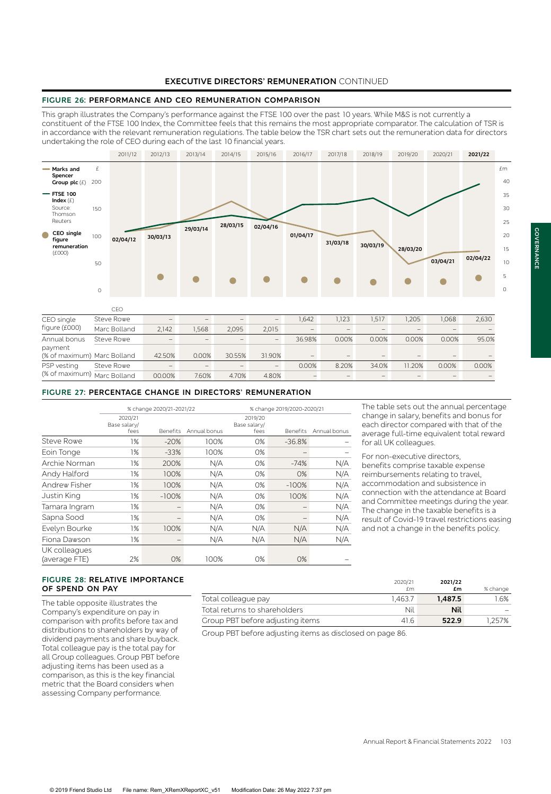#### **EXECUTIVE DIRECTORS' REMUNERATION** CONTINUED

### **FIGURE 26: PERFORMANCE AND CEO REMUNERATION COMPARISON**

This graph illustrates the Company's performance against the FTSE 100 over the past 10 years. While M&S is not currently a constituent of the FTSE 100 Index, the Committee feels that this remains the most appropriate comparator. The calculation of TSR is in accordance with the relevant remuneration regulations. The table below the TSR chart sets out the remuneration data for directors undertaking the role of CEO during each of the last 10 financial years.



| CEO single                  | Steve Rowe   | $\overline{\phantom{a}}$ | $\overline{\phantom{a}}$ |        | $\overline{\phantom{a}}$ | .642            | .123                     | ,517                     | .205   | 1.068 | 2,630 |
|-----------------------------|--------------|--------------------------|--------------------------|--------|--------------------------|-----------------|--------------------------|--------------------------|--------|-------|-------|
| figure (£000)               | Marc Bolland | 2.142                    | .568                     | 2.095  | 2.015                    | $\qquad \qquad$ | $\overline{\phantom{a}}$ | $\overline{\phantom{a}}$ |        |       |       |
| Annual bonus                | Steve Rowe   | $\qquad \qquad$          | $\overline{\phantom{a}}$ |        | $\overline{\phantom{a}}$ | 36.98%          | 0.00%                    | 0.00%                    | 0.00%  | 0.00% | 95.0% |
| payment                     |              |                          |                          |        |                          |                 |                          |                          |        |       |       |
| (% of maximum) Marc Bolland |              | 42.50%                   | 0.00%                    | 30.55% | 31.90%                   | -               | $\overline{\phantom{a}}$ | -                        |        |       |       |
| PSP vesting                 | Steve Rowe   | $\overline{\phantom{a}}$ |                          |        | $\overline{\phantom{a}}$ | 0.00%           | 8.20%                    | 34.0%                    | 11.20% | 0.00% | 0.00% |
| (% of maximum) Marc Bolland |              | 00.00%                   | 7.60%                    | 4.70%  | 4.80%                    |                 | $\overline{\phantom{a}}$ |                          |        |       |       |

#### **FIGURE 27: PERCENTAGE CHANGE IN DIRECTORS' REMUNERATION**

|                                |                                 | % change 2020/21-2021/22 |              |                                 | % change 2019/2020-2020/21 |              |  |  |
|--------------------------------|---------------------------------|--------------------------|--------------|---------------------------------|----------------------------|--------------|--|--|
|                                | 2020/21<br>Base salary/<br>fees | <b>Benefits</b>          | Annual bonus | 2019/20<br>Base salary/<br>fees | <b>Benefits</b>            | Annual bonus |  |  |
| <b>Steve Rowe</b>              | 1%                              | $-20%$                   | 100%         | 0%                              | $-36.8%$                   |              |  |  |
| Eoin Tonge                     | 1%                              | $-33%$                   | 100%         | 0%                              |                            |              |  |  |
| Archie Norman                  | 1%                              | 200%                     | N/A          | 0%                              | $-74%$                     | N/A          |  |  |
| Andy Halford                   | 1%                              | 100%                     | N/A          | 0%                              | 0%                         | N/A          |  |  |
| Andrew Fisher                  | 1%                              | 100%                     | N/A          | 0%                              | $-100%$                    | N/A          |  |  |
| Justin King                    | 1%                              | $-100%$                  | N/A          | 0%                              | 100%                       | N/A          |  |  |
| Tamara Ingram                  | 1%                              |                          | N/A          | $O\%$                           |                            | N/A          |  |  |
| Sapna Sood                     | 1%                              |                          | N/A          | 0%                              |                            | N/A          |  |  |
| Evelyn Bourke                  | 1%                              | 100%                     | N/A          | N/A                             | N/A                        | N/A          |  |  |
| Fiona Dawson                   | 1%                              |                          | N/A          | N/A                             | N/A                        | N/A          |  |  |
| UK colleagues<br>(average FTE) | 2%                              | 0%                       | 100%         | $O\%$                           | $O\%$                      |              |  |  |

The table sets out the annual percentage change in salary, benefits and bonus for each director compared with that of the average full-time equivalent total reward for all UK colleagues.

For non-executive directors, benefits comprise taxable expense reimbursements relating to travel, accommodation and subsistence in connection with the attendance at Board and Committee meetings during the year. The change in the taxable benefits is a result of Covid-19 travel restrictions easing and not a change in the benefits policy.

#### **FIGURE 28: RELATIVE IMPORTANCE OF SPEND ON PAY**

The table opposite illustrates the Company's expenditure on pay in comparison with profits before tax and distributions to shareholders by way of dividend payments and share buyback. Total colleague pay is the total pay for all Group colleagues. Group PBT before adjusting items has been used as a comparison, as this is the key financial metric that the Board considers when assessing Company performance.

|                                  | 2020/21<br>£m | 2021/22<br>£m | % change |
|----------------------------------|---------------|---------------|----------|
| Total colleague pay              | 1.463.7       | 1.487.5       | '.6%     |
| Total returns to shareholders    | Nil           | <b>Nil</b>    |          |
| Group PBT before adjusting items | 416           | 522.9         | '.257%   |

Group PBT before adjusting items as disclosed on page 86.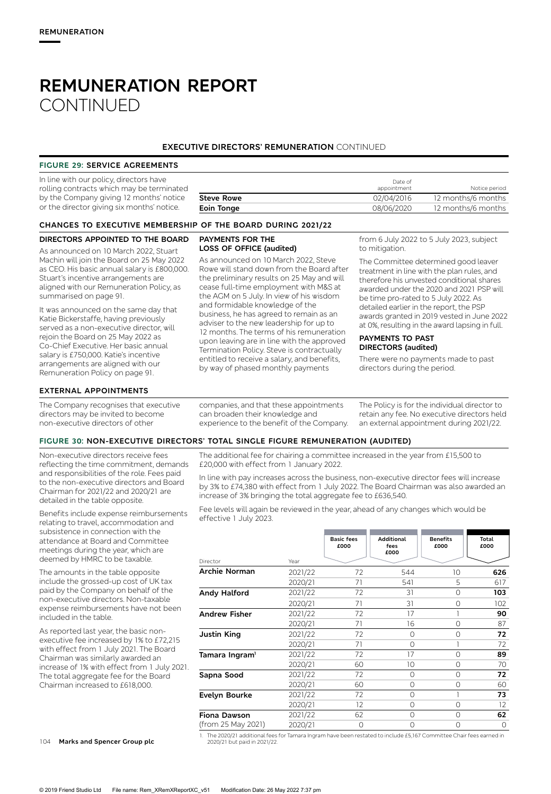# **EXECUTIVE DIRECTORS' REMUNERATION** CONTINUED

#### **FIGURE 29: SERVICE AGREEMENTS**

| In line with our policy, directors have<br>rolling contracts which may be terminated |                   | Date of<br>appointment | Notice period      |
|--------------------------------------------------------------------------------------|-------------------|------------------------|--------------------|
| by the Company giving 12 months' notice                                              | <b>Steve Rowe</b> | 02/04/2016             | 12 months/6 months |
| or the director giving six months' notice.                                           | Eoin Tonge        | 08/06/2020             | 12 months/6 months |

As announced on 10 March 2022, Steve Rowe will stand down from the Board after the preliminary results on 25 May and will cease full-time employment with M&S at the AGM on 5 July. In view of his wisdom and formidable knowledge of the business, he has agreed to remain as an adviser to the new leadership for up to 12 months. The terms of his remuneration upon leaving are in line with the approved Termination Policy. Steve is contractually entitled to receive a salary, and benefits, by way of phased monthly payments

**PAYMENTS FOR THE LOSS OF OFFICE (audited)**

#### **CHANGES TO EXECUTIVE MEMBERSHIP OF THE BOARD DURING 2021/22**

#### **DIRECTORS APPOINTED TO THE BOARD**

As announced on 10 March 2022, Stuart Machin will join the Board on 25 May 2022 as CEO. His basic annual salary is £800,000. Stuart's incentive arrangements are aligned with our Remuneration Policy, as summarised on page 91.

It was announced on the same day that Katie Bickerstaffe, having previously served as a non-executive director, will rejoin the Board on 25 May 2022 as Co-Chief Executive. Her basic annual salary is £750,000. Katie's incentive arrangements are aligned with our Remuneration Policy on page 91.

#### **EXTERNAL APPOINTMENTS**

The Company recognises that executive directors may be invited to become non-executive directors of other

companies, and that these appointments can broaden their knowledge and experience to the benefit of the Company. from 6 July 2022 to 5 July 2023, subject to mitigation.

The Committee determined good leaver treatment in line with the plan rules, and therefore his unvested conditional shares awarded under the 2020 and 2021 PSP will be time pro-rated to 5 July 2022. As detailed earlier in the report, the PSP awards granted in 2019 vested in June 2022 at 0%, resulting in the award lapsing in full.

#### **PAYMENTS TO PAST DIRECTORS (audited)**

There were no payments made to past directors during the period.

The Policy is for the individual director to retain any fee. No executive directors held an external appointment during 2021/22.

# **FIGURE 30: NON-EXECUTIVE DIRECTORS' TOTAL SINGLE FIGURE REMUNERATION (AUDITED)**

Non-executive directors receive fees reflecting the time commitment, demands and responsibilities of the role. Fees paid to the non-executive directors and Board Chairman for 2021/22 and 2020/21 are detailed in the table opposite.

Benefits include expense reimbursements relating to travel, accommodation and subsistence in connection with the attendance at Board and Committee meetings during the year, which are deemed by HMRC to be taxable.

The amounts in the table opposite include the grossed-up cost of UK tax paid by the Company on behalf of the non-executive directors. Non-taxable expense reimbursements have not been included in the table.

As reported last year, the basic nonexecutive fee increased by 1% to £72,215 with effect from 1 July 2021. The Board Chairman was similarly awarded an increase of 1% with effect from 1 July 2021. The total aggregate fee for the Board Chairman increased to £618,000.

The additional fee for chairing a committee increased in the year from £15,500 to £20,000 with effect from 1 January 2022.

In line with pay increases across the business, non-executive director fees will increase by 3% to £74,380 with effect from 1 July 2022. The Board Chairman was also awarded an increase of 3% bringing the total aggregate fee to £636,540.

Fee levels will again be reviewed in the year, ahead of any changes which would be effective 1 July 2023.

|                            |         | <b>Basic fees</b><br>£000 | <b>Additional</b><br>fees<br>£000 | <b>Benefits</b><br>£000 | Total<br>£000     |
|----------------------------|---------|---------------------------|-----------------------------------|-------------------------|-------------------|
| Director                   | Year    |                           |                                   |                         |                   |
| <b>Archie Norman</b>       | 2021/22 | 72                        | 544                               | 10                      | 626               |
|                            | 2020/21 | 71                        | 541                               | 5                       | 617               |
| <b>Andy Halford</b>        | 2021/22 | 72                        | 31                                | $\Omega$                | 103               |
|                            | 2020/21 | 71                        | 31                                | 0                       | 102               |
| <b>Andrew Fisher</b>       | 2021/22 | 72                        | 17                                |                         | 90                |
|                            | 2020/21 | 71                        | 16                                | 0                       | 87                |
| Justin King                | 2021/22 | 72                        | $\Omega$                          | 0                       | 72                |
|                            | 2020/21 | 71                        | $\Omega$                          |                         | 72                |
| Tamara Ingram <sup>1</sup> | 2021/22 | 72                        | 17                                | $\Omega$                | 89                |
|                            | 2020/21 | 60                        | 10                                | $\Omega$                | 70                |
| Sapna Sood                 | 2021/22 | 72                        | $\Omega$                          | $\Omega$                | 72                |
|                            | 2020/21 | 60                        | $\Omega$                          | $\circ$                 | 60                |
| Evelyn Bourke              | 2021/22 | 72                        | $\Omega$                          |                         | 73                |
|                            | 2020/21 | 12                        | $\Omega$                          | $\Omega$                | $12 \overline{ }$ |
| <b>Fiona Dawson</b>        | 2021/22 | 62                        | $\Omega$                          | $\Omega$                | 62                |
| (from 25 May 2021)         | 2020/21 | $\Omega$                  | 0                                 | 0                       | $\circ$           |

1. The 2020/21 additional fees for Tamara Ingram have been restated to include £5,167 Committee Chair fees earned in 2020/21 but paid in 2021/22.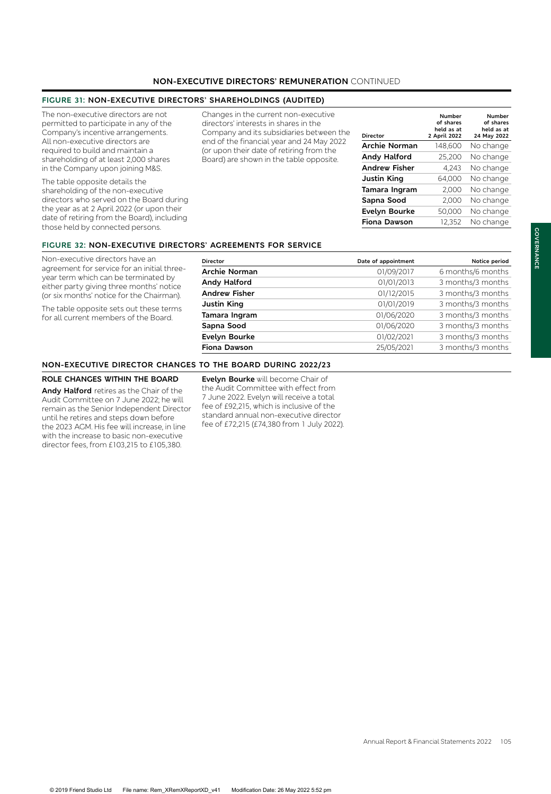# **NON-EXECUTIVE DIRECTORS' REMUNERATION** CONTINUED

## **FIGURE 31: NON-EXECUTIVE DIRECTORS' SHAREHOLDINGS (AUDITED)**

The non-executive directors are not permitted to participate in any of the Company's incentive arrangements. All non-executive directors are required to build and maintain a shareholding of at least 2,000 shares in the Company upon joining M&S.

The table opposite details the shareholding of the non-executive directors who served on the Board during the year as at 2 April 2022 (or upon their date of retiring from the Board), including those held by connected persons.

Changes in the current non-executive directors' interests in shares in the Company and its subsidiaries between the end of the financial year and 24 May 2022 (or upon their date of retiring from the Board) are shown in the table opposite.

| Director             | Number<br>of shares<br>held as at<br>2 April 2022 | Number<br>of shares<br>held as at<br>24 May 2022 |
|----------------------|---------------------------------------------------|--------------------------------------------------|
| <b>Archie Norman</b> | 148,600                                           | No change                                        |
| <b>Andy Halford</b>  | 25,200                                            | No change                                        |
| <b>Andrew Fisher</b> | 4,243                                             | No change                                        |
| <b>Justin King</b>   | 64,000                                            | No change                                        |
| Tamara Ingram        | 2,000                                             | No change                                        |
| Sapna Sood           | 2,000                                             | No change                                        |
| Evelyn Bourke        | 50,000                                            | No change                                        |
| <b>Fiona Dawson</b>  | 12,352                                            | No change                                        |
|                      |                                                   |                                                  |

#### **FIGURE 32: NON-EXECUTIVE DIRECTOR**

Non-executive directors have an agreement for service for an initial threeyear term which can be terminated by either party giving three months' notice (or six months' notice for the Chairman).

The table opposite sets out these terms for all current members of the Board.

| <b>8S' AGREEMENTS FOR SERVICE</b><br><b>Director</b> | Date of appointment | Notice period     |
|------------------------------------------------------|---------------------|-------------------|
| <b>Archie Norman</b>                                 | 01/09/2017          | 6 months/6 months |
| Andy Halford                                         | 01/01/2013          | 3 months/3 months |
| <b>Andrew Fisher</b>                                 | 01/12/2015          | 3 months/3 months |
| Justin King                                          | 01/01/2019          | 3 months/3 months |
| Tamara Ingram                                        | 01/06/2020          | 3 months/3 months |
| Sapna Sood                                           | 01/06/2020          | 3 months/3 months |
| Evelyn Bourke                                        | 01/02/2021          | 3 months/3 months |
| <b>Fiona Dawson</b>                                  | 25/05/2021          | 3 months/3 months |

#### **NON-EXECUTIVE DIRECTOR CHANGES TO THE BOARD DURING 2022/23**

# **ROLE CHANGES WITHIN THE BOARD**

**Andy Halford** retires as the Chair of the Audit Committee on 7 June 2022; he will remain as the Senior Independent Director until he retires and steps down before the 2023 AGM. His fee will increase, in line with the increase to basic non-executive director fees, from £103,215 to £105,380.

**Evelyn Bourke** will become Chair of the Audit Committee with effect from 7 June 2022. Evelyn will receive a total fee of £92,215, which is inclusive of the standard annual non-executive director fee of £72,215 (£74,380 from 1 July 2022).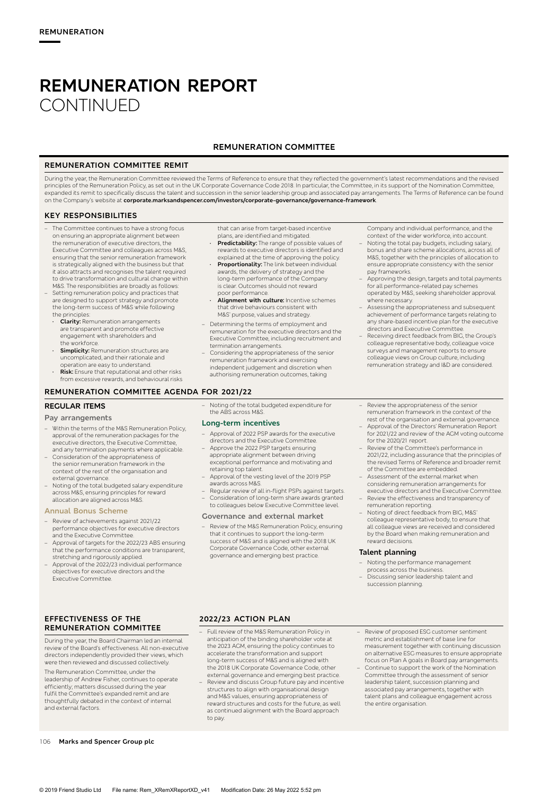## **REMUNERATION COMMITTEE**

#### **REMUNERATION COMMITTEE REMIT**

During the year, the Remuneration Committee reviewed the Terms of Reference to ensure that they reflected the government's latest recommendations and the revised<br>principles of the Remuneration Policy, as set out in the UK expanded its remit to specifically discuss the talent and succession in the senior leadership group and associated pay arrangements. The Terms of Reference can be found on the Company's website at **corporate.marksandspencer.com/investors/corporate-governance/governance-framework**.

#### **KEY RESPONSIBILITIES**

- The Committee continues to have a strong focus on ensuring an appropriate alignment between the remuneration of executive directors, the Executive Committee and colleagues across M&S, ensuring that the senior remuneration framework is strategically aligned with the business but that it also attracts and recognises the talent required to drive transformation and cultural change within
- M&S. The responsibilities are broadly as follows: – Setting remuneration policy and practices that are designed to support strategy and promote the long-term success of M&S while following the principles:
- **· Clarity:** Remuneration arrangements are transparent and promote effective engagement with shareholders and the workforce.
- **· Simplicity:** Remuneration structures are uncomplicated, and their rationale and operation are easy to understand.
- **Risk:** Ensure that reputational and other risks from excessive rewards, and behavioural risks

#### **REMUNERATION COMMITTEE AGENDA FOR 2021/22**

#### **REGULAR ITEMS**

#### **Pay arrangements**

- Within the terms of the M&S Remuneration Policy, approval of the remuneration packages for the executive directors, the Executive Committee, and any termination payments where applicable.
- Consideration of the appropriateness of the senior remuneration framework in the context of the rest of the organisation and external governance.
- Noting of the total budgeted salary expenditure across M&S, ensuring principles for reward allocation are aligned across M&S.

#### **Annual Bonus Scheme**

- Review of achievements against 2021/22 performance objectives for executive directors and the Executive Committee.
- Approval of targets for the 2022/23 ABS ensuring that the performance conditions are transparent, stretching and rigorously applied.
- Approval of the 2022/23 individual performance objectives for executive directors and the Executive Committee.

**EFFECTIVENESS OF THE REMUNERATION COMMITTEE**

During the year, the Board Chairman led an internal review of the Board's effectiveness. All non-executive directors independently provided their views, which were then reviewed and discussed collectively.

The Remuneration Committee, under the leadership of Andrew Fisher, continues to operate efficiently; matters discussed during the year fulfil the Committee's expanded remit and are thoughtfully debated in the context of internal and external factors.

that can arise from target-based incentive plans, are identified and mitigated.

- **· Predictability:** The range of possible values of rewards to executive directors is identified and explained at the time of approving the policy.
- **· Proportionality:** The link between individual awards, the delivery of strategy and the long-term performance of the Company is clear. Outcomes should not reward poor performance.
- **· Alignment with culture:** Incentive schemes that drive behaviours consistent with M&S' purpose, values and strategy.
- Determining the terms of employment and remuneration for the executive directors and the Executive Committee, including recruitment and termination arrangements.
- Considering the appropriateness of the senior remuneration framework and exercising independent judgement and discretion when authorising remuneration outcomes, taking

Company and individual performance, and the context of the wider workforce, into account.

- Noting the total pay budgets, including salary, bonus and share scheme allocations, across all of M&S, together with the principles of allocation to ensure appropriate consistency with the senior pay frameworks.
- Approving the design, targets and total payments for all performance-related pay schemes operated by M&S, seeking shareholder approval where necessary.
- Assessing the appropriateness and subsequent achievement of performance targets relating to any share-based incentive plan for the executive directors and Executive Committee.
- Receiving direct feedback from BIG, the Group's colleague representative body, colleague voice surveys and management reports to ensure colleague views on Group culture, including remuneration strategy and I&D are considered.
- Noting of the total budgeted expenditure for the ABS across M&S.

#### **Long-term incentives**

- Approval of 2022 PSP awards for the executive
- directors and the Executive Committee. Approve the 2022 PSP targets ensuring appropriate alignment between driving exceptional performance and motivating and retaining top talent.
- Approval of the vesting level of the 2019 PSP awards across M&S.
- Regular review of all in-flight PSPs against targets. – Consideration of long-term share awards granted to colleagues below Executive Committee level.

#### **Governance and external market**

– Review of the M&S Remuneration Policy, ensuring that it continues to support the long-term success of M&S and is aligned with the 2018 UK Corporate Governance Code, other external governance and emerging best practice.

- Review the appropriateness of the senior remuneration framework in the context of the rest of the organisation and external governance.
- Approval of the Directors' Remuneration Report for 2021/22 and review of the AGM voting outcome for the 2020/21 report.
- Review of the Committee's performance in 2021/22, including assurance that the principles of the revised Terms of Reference and broader remit of the Committee are embedded.
- Assessment of the external market when considering remuneration arrangements for executive directors and the Executive Committee. – Review the effectiveness and transparency of
- remuneration reporting. Noting of direct feedback from BIG, M&S' colleague representative body, to ensure that all colleague views are received and considered by the Board when making remuneration and reward decisions.

#### **Talent planning**

- Noting the performance management process across the business.
- Discussing senior leadership talent and succession planning.

#### **2022/23 ACTION PLAN**

- Full review of the M&S Remuneration Policy in anticipation of the binding shareholder vote at the 2023 AGM, ensuring the policy continues to accelerate the transformation and support long-term success of M&S and is aligned with the 2018 UK Corporate Governance Code, other external governance and emerging best practice.
- Review and discuss Group future pay and incentive structures to align with organisational design and M&S values, ensuring appropriateness of reward structures and costs for the future, as well as continued alignment with the Board approach to pay.
- Review of proposed ESG customer sentiment metric and establishment of base line for measurement together with continuing discussion on alternative ESG measures to ensure appropriate focus on Plan A goals in Board pay arrangements.
- Continue to support the work of the Nomination Committee through the assessment of senior leadership talent, succession planning and associated pay arrangements, together with talent plans and colleague engagement across the entire organisation.